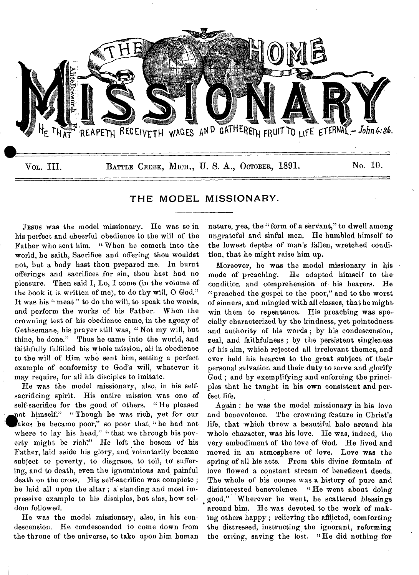

# THE MODEL MISSIONARY.

JESUS was the model missionary. He was so in his perfect and cheerful obedience to the will of the Father who sent him. " When he cometh into the world, be saith, Sacrifice and offering thou wouldst not, but a body hast thou prepared me. In burnt offerings and sacrifices for sin, thou hast had no pleasure. Then said I, Lo, I come (in the volume of the book it is written of me), to do thy will, 0 God." It was his "meat" to do the will, to speak the words, and perform the works of his Father. When the crowning test of his obedience came, in the agony of Gethsemane, his prayer still was, "Not my will, but thine, be done." Thus he came into the world, and faithfully fulfilled his whole mission, all in obedience to the will of Him who sent him, setting a perfect example of conformity to God's will, whatever it may require, for all his disciples to imitate.

He was the model missionary, also, in his selfsacrificing spirit. His entire mission was one of self-sacrifice for the good of others. " He pleased akes he became poor," so poor that. "he had not not himself." "Though he was rich, yet for our where to lay his head," "that we through his poverty might be rich?" He left the bosom of his Father, laid aside his glory, and voluntarily became subject to poverty, to disgrace, to toil, to' suffering, and to death, even the ignominious and painful death on the cross. His self-sacrifice was complete ; be laid all upon the altar ; a standing and most impressive example to his disciples, but alas, how seldom followed.

He was the model missionary, also, in his condescension. He condescended to come down from the throne of the universe, to take upon him human nature, yea, the "form of a servant," to dwell among ungrateful and sinful men. He humbled himself to the lowest depths of man's fallen, wretched condition, that he might raise him up.

Moreover, he was the model missionary in his mode of preaching. He adapted himself to the condition and comprehension of his hearers. He "preached the gospel to the poor," and to the worst of sinners, and mingled with all classes, that he might, win them to repentance. His preaching was specially characterized by the kindness, yet pointedness, and authority of his words ; by his condescension, zeal, and faithfulness ; by the persistent singleness. of his aim, which rejected all irrelevant themes, and ever held his hearers to the great subject of their personal salvation and their duty to serve and glorify God ; and by exemplifying and enforcing the principles that he taught in his own consistent and perfect life.

Again : he was the model missionary in his love and benevolence. The crowning feature in Christ's life, that which threw a beautiful halo around his whole character, was his love. He was, indeed, the very embodiment of the love of God. He lived and moved in an atmosphere of love. Love was the spring of all his acts. From this divine fountain of love flowed a constant stream of beneficent deeds. The whole of his course was a history of pure and disinterested benevolence. " He went about doing good." Wherever he went, he scattered blessings around him. He was devoted to the work of making others happy ; relieving the afflicted, comforting the distressed, instructing the ignorant, reforming the erring, saving the lost. " He did nothing for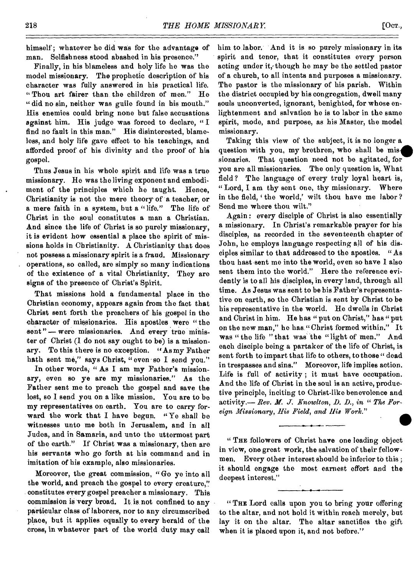himself'; whatever he did was for the advantage of man. Selfishness stood abashed in his presence."

Finally, in his blameless and holy life he was the model missionary. The prophetic description of his character was fully answered in his practical life. " Thou art fairer than the children of men." He " did no sin, neither was guile found in his mouth." His enemies could bring none but false accusations against him. His judge was forced to declare, " I find no fault in this man." His disinterested, blameless, and holy life gave effect to his teachings, and afforded proof of his divinity and the proof of his gospel.

Thus Jesus in his whole spirit and life was a true missionary. He was the living exponent and embodiment of the principles which he taught. Hence, Christianity is not the mere theory of a teacher, or a mere faith in a system, but a " life." The life of Christ in the soul constitutes a man a Christian. And since the life of Christ is so purely missionary, it is evident how essential a place the spirit of missions holds in Christianity. A Christianity that does not possess a missionary spirit is a fraud. Missionary operations, so called, are simply so many indications of the existence of a vital Christianity. They are signs of the presence of Christ's Spirit.

That missions hold a fundamental place in the Christian economy, appears again from the fact that Christ sent forth the preachers of his gospel in the character of missionaries. His apostles were " the sent" - were missionaries. And every true minister of Christ (I do not say ought to be) is a missionary. To this there is no exception. "As my Father hath sent mé," says Christ, "even so I send you."

In other words, "As I am my Father's missionary, even so ye are my missionaries." As the Father sent me to preach the gospel and save the lost, so I send you on a like mission. You are to be my representatives on earth. You are to carry forward the work that I have begun. "Ye shall be witnesses unto me both in Jerusalem, and in all Judea, and in Samaria, and unto the uttermost part of the earth." If Christ *was* a missionary, then are his servants who go forth at his command and in imitation of his example, also missionaries.

Moreover, the great commission, " Go ye into all the world, and preach the gospel to every creature," constitutes every gospel preacher a missionary. This commission is very broad. It is not confined to any particular class of laborers, nor to any circumscribed place, but it applies equally to every herald of the cross, in whatever part of the world duty may call

him to labor. And it is so purely missionary in its spirit and tenor, that it constitutes every person acting under it, though he may be the settled pastor of a church, to all intents and purposes a missionary. The pastor is the missionary of his parish. Within the district occupied by his congregation, dwell many souls unconverted, ignorant, benighted, for whose enlightenment and salvation he is to labor in the same spirit, mode, and purpose, as his Master, the model missionary.

Taking this view of the subject, it is no longer a question with you, my brethren, who shall be missionaries. That question need not be agitated, for you are all missionaries. The only question is, What field ? The language of every truly loyal heart is, "Lord, I am thy sent one, thy missionary. Where in the field, the world,' wilt thou have me labor ? Send me where thou wilt."

Again : every disciple of Christ is also essentially a missionary. In Christ's remarkable prayer for his disciples, as recorded in the seventeenth chapter of John, he employs language respecting all of his disciples similar to that addressed to the apostles. "As thou hast sent me into the world, even so have I also sent them into the world." Here the reference evidently is to all his disciples, in every land, through all time. As Jesus was sent to be his Father's representative on earth, so the Christian is sent by Christ to be his representative in the world. He dwells in Christ and Christ in him. He has "put on Christ," has "put on the new man," he has "Christ formed within." It was " the life " that was the " light of men." And each disciple being a partaker of the life of Christ, is sent forth to impart that life to others, to those " dead in trespasses and sins." Moreover, life implies action. Life is full of activity ; it must have occupation. And the life of Christ in the soul is an active, productive principle, inciting to Christ-like benevolence and activity.— *Rev. M. J. Knowlton, D. D., in " The Foreign Missionary, His Field, and His Work."*   $\sum_{i=1}^d$ 

" THE followers of Christ have one leading object in view, one great work, the salvation of their fellowmen. Every other interest should be inferior to this ; it should engage the most earnest effort and the deepest interest."

" THE Lord calls upon you to bring your offering to the altar, and not hold it within reach merely, but lay it on the altar. The altar sanctifies the gift when it is placed upon it, and not before."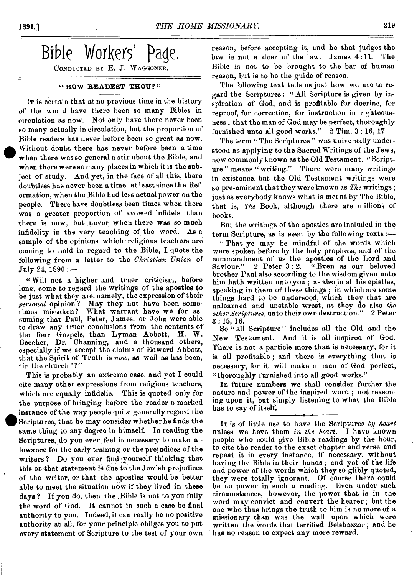Bible Workers' page. CONDUCTED BY E. J. WAGGONER.

#### **" HOW READEST THOU? "**

IT is certain that at no previous time in the history of the world have there been so many Bibles in circulation as now. Not only have there never been so many actually in circulation, but the proportion of Bible readers has never before been so great as now.<br>Without doubt there has never before been a time<br>when there was so general a stir about the Bible, and<br>when there when there was so general a stir about the Bible, and when there were so many places in which it is the subject of study. And yet, in the face of all this, there doubtless has never been a time, at least since the Reformation, when the Bible bad less actual power on the people. There have doubtless been times when there was a greater proportion of avowed infidels than there is now, but never when there was so much infidelity in the very teaching of the word. As a sample of the opinions which religious teachers are coming to hold in regard to the Bible, I quote the following from a letter to the *Christian Union* of July 24, 1890 : —

" Will not a higher and truer criticism, before long, come to regard the writings of the apostles to be just what they are, namely, the expression of their *personal* opinion ? May they not have been sometimes mistaken ? What warrant have we for assuming that Paul, Peter, James, or John were able to draw any truer conclusions from the contents of the four Gospels, than Lyman Abbott, H. W. Beecher, Dr. Charming, and a thousand others, especially if we accept the claims of Edward Abbott, that the Spirit of Truth is *now,* as well as has been, in the church'?"

This is probably an extreme case, and yet I could cite many other expressions from religious teachers, which are equally infidelic. This is quoted only for the purpose of bringing before the reader a marked instance of the way people quite generally regard the Scriptures, that he may consider whether he finds the same thing to any degree in himself. In reading the Scriptures, do you ever feel it necessary to make allowance for the early training or the prejudices of the writers ? Do you ever find yourself thinking that this or that statement is due to the Jewish prejudices of the writer, or that the apostles would be better able to meet the situation now if they lived in these days ? If you do, then the ,Bible is not to you fully the word of God. It cannot in such a case be final authority to you. Indeed, it can really be no positive authority at all, for your principle obliges you to put every statement of Scripture to the test of your own whi<br>the<br>inst<br>Scri<br>sam<br>sam

reason, before accepting it, and he that judges the law is not a doer of the law. James 4:11. The Bible is not to be brought to the bar of human reason, but is to be the guide of reason.

The following text tells us just how we are to regard the Scriptures : " All Scripture is given by inspiration of God, and is profitable for docrine, for reproof, for correction, for instruction in righteousness ; that the man of God may be perfect, thoroughly furnished unto all good works."  $2$  Tim.  $3:16, 17$ .

The term "The Scriptures" was universally understood as applying to the Sacred Writings of the Jews, now commonlyknown as the Old Testament. " Scripture" means "writing." There were many writings in existence, but the Old Testament writings were so pre-eminent that they were known as *The* writings ; just as everybody knows what is meant by The Bible, that is, *The* Book, although there are millions of books.

But the writings of the apostles are included in the term Scripture, as is seen by the following texts :—

"That ye may be mindful of the words which were spoken before by the holy prophets, and of the commandment of us the apostles of the Lord and<br>Saviour." 2 Peter 3:2. "Even as our beloved " Even as our beloved brother Paul also according to the wisdom given unto him hath written unto you ; as also in all his epistles, speaking in them of these things ; in which are some things hard to be undersood, which they that are unlearned and unstable wrest, as they do also *the other Scriptures,* unto their own destruction." 2 Peter  $3:15, 16.$ 

So " all Scripture" includes all the Old and the New Testament. And it is all inspired of God. There is not a particle more than is necessary, for it is all profitable ; and there is everything that is necessary, for it will make a man of God perfect, "thoroughly furnished into all good works."

In future numbers we shall consider further the nature and power of the inspired word ; not reasoning upon it, but simply listening to what the Bible has to say of itself. ♦

IT is of little use to have the Scriptures *by heart*  unless we have them in *the heart.* I have known people who could give Bible readings by the hour, to cite the reader to the exact chapter and verse, and repeat it in every instance, if necessary, without having the Bible in their hands ; and yet of the life and power of the words which they so glibly quoted, they were totally ignorant. Of course there could be no power in such a reading. Even under such circumstances, however, the power that is in the word may convict and convert the hearer; but the one who thus brings the truth to him is no more of a missionary than was the wall upon which were written the words that terrified Belshazzar ; and he has no reason to expect any more reward.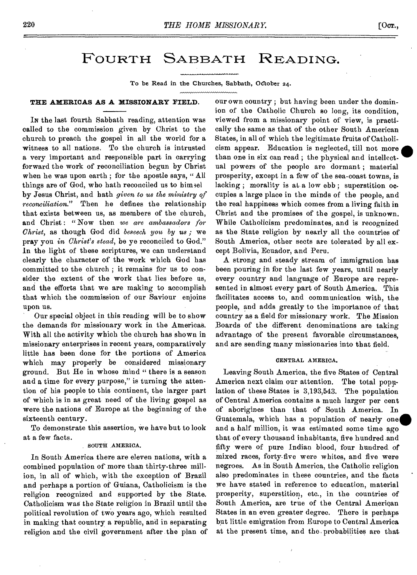# FOURTH SABBATH READING.

To be Read in the Churches, Sabbath, October 24.

#### **THE AMERICAS AS A MISSIONARY FIELD.**

IN the last fourth Sabbath reading, attention was called to the commission given by Christ to the church to preach the gospel in all the world for a witness to all nations. To the church is intrusted a very important and responsible part in carrying forward the work of reconciliation begun by Christ when he was upon earth; for the apostle says, "All things are of God, who hath reconciled us to himiel *by* Jesus Christ, and hath *given to us the ministry of reconciliation."* Then he defines the relationship that exists between us, as members of the church, and Christ : " Now then *we are ambassadors for Christ,* as though God did *beseech you by us ;* we pray you in *Christ's stead,* be ye reconciled to God." In the light of these scriptures, we can understand clearly the character of the work which God has committed to the church ; it remains for us to consider the extent of the work that lies before us, and the efforts that we are making to accomplish that which the commission of our Saviour enjoins upon us.

Our special object in this reading will be to show the demands for missionary work in the Americas. With all the activity which the church has shown in missionary enterprises in recent years, comparatively little has been done for the portions of America which may properly be considered missionary ground. But He in whose mind " there is a season and a time for every purpose," is turning the attention of his people to this continent, the larger part of which is in as great need of the living gospel as were the nations of Europe at the beginning of the sixteenth century.

To demonstrate this assertion, we have but to look at *a* few facts.

#### SOUTH AMERICA.

In South America there are eleven nations, with a combined population of more than thirty-three million, in all of which, with the exception of Brazil and perhaps a portion of Guiana, Catholicism is the religion recognized and supported by the State. Catholicism was the State religion in Brazil until the political revolution of two years ago, which resulted in making that country a republic, and in separating religion and the civil government after the plan of our own country ; but having been under the dominion of the Catholic Church so long, its condition, viewed from *a* missionary point of view, is practically the same as that of the other South American States, in all of which the legitimate fruits of Catholicism appear. Education is neglected, till not more than one in six can read ; the physical and intellectual powers of the people are dormant ; material prosperity, except in a few of the sea-coast towns, is lacking; morality is at a low ebb; superstition occupies a large place in the minds of the people, and the real happiness which comes from a living faith in Christ and the promises of the gospel, is unknown. While Catholicism predominates, and is recognized as the State religion by nearly all the countries of South America, other sects are tolerated by all except Bolivia, Ecuador, and Peru.

A strong and steady stream of immigration has been pouring in for the last few years, until nearly every country and language of Europe are represented in almost every part of South America. This facilitates access to, and communication with, the people, and adds greatly to the importance of that country as a field for missionary work. The Mission Boards of the different denominations are taking advantage of the present favorable circumstances, and are sending many missionaries into that field.

#### CENTRAL AMERICA.

Leaving South America, the five States of Central America next claim our attention. The total population of these States is 3,193,543. The population of Central America contains a much larger per cent of aborigines than that of South America. In Guatemala, which has a population of nearly one and a half million, it was estimated some time ago that of every thousand inhabitants, five hundred and fifty were of pure Indian blood, four hundred, of mixed races, forty-five were whites, and five were negroes. As in South America, the Catholic religion also predominates in these countries, and the facts we have stated in reference to education, material prosperity, superstition, etc., in the countries of South America, are true of the Central American States in an even greater degree. There is perhaps but little emigration from Europe to Central America at the present time, and the, probabilities are that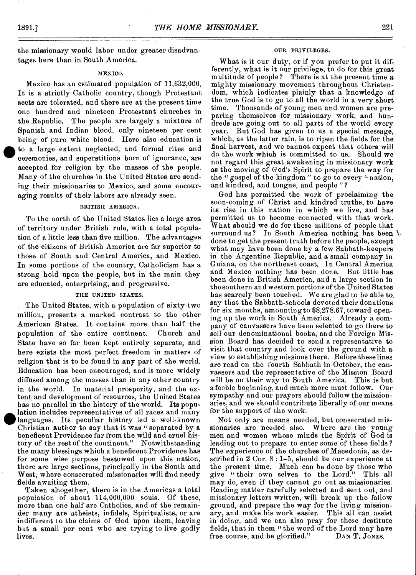the missionary would labor under greater disadvantages here than in South America.

#### MEXICO.

Mexico has an estimated population of 11,632,000. It is a strictly Catholic country, though Protestant sects are tolerated, and there are at the present time one hundred and nineteen Protestant churches in the Republic. The people are largely a mixture of Spanish and Indian blood, only nineteen per cent being of pure white blood. Here also education is **ah** to a large extent neglected, and formal rites and ceremonies, and superstitions born of ignorance, are accepted for religion by the masses of the people. Many of the churches in the United States are sending their missionaries to Mexico, and some encouraging results of their labors are already seen.

#### BRITISH AMERICA.

To the north of the United States lies a large area of territory under British rule, with a total population of a little less than five million. The advantages of the citizens of British America are far superior to those of South and Central America, and Mexico. In some portions of the country, Catholicism has a strong hold upon the people, but in the main they are educated, enterprising, and progressive.

#### THE UNITED STATES.

The United States, with a population of sixty-two million, presents a marked contrast to the other American States. It contains more than half the population of the entire continent. Church and State have so far been kept entirely separate, and here exists the most perfect freedom in matters of religion that is to be found in any part of the world. Education has been encouraged, and is more widely diffused among the masses than in any other country in the world. In material prosperity, and the extent and development of resources, the United States has no parallel in the history of the world. Its population includes representatives of all races and many languages. Its peculiar history led a well-known Christian author to say that it was " separated by a beneficent Providence far from the wild and cruel history of the rest of the continent." Notwithstanding the many blessings which a beneficent Providence has for some wise purpose bestowed upon this nation, there are large sections, principally in the South and West, where consecrated missionaries will find needy fields awaiting them.

Taken altogether, there is in the Americas a total population of about 114,000,000 souls. Of these, more than one half are Catholics, and of the remainder many are atheists, infidels, Spiritualists, or are indifferent to the claims of God upon them, leaving but a small per cent who are trying to live godly lives.

#### OUR PRIVILEGES.

What is it our duty, or if you prefer to put it differently, what is it our privilege, to do for this great multitude of people? There is at the present time a mighty missionary movement throughout Christendom, which indicates plainly that a knowledge of the true God is to go to all the world in a very short time. Thousands of young men and women are preparing themselves for missionary work, and hundreds are going out to all parts of the world every year. But God has given to us a special message, which, as the latter rain, is to ripen the fields for the final harvest, and we cannot expect that others will do the work which is committed to us. Should we not regard this great awakening in missionary work as the moving of. God's Spirit to prepare the way for the " gospel of the kingdom " to go to every "nation, and kindred, and tongue, and people " ?

God has permitted the work of proclaiming the soon-coming of Christ and kindred truths, to have its rise in this nation in which we live, and has permitted us to become connected with that work. What should we do for these millions of people that surround us? In South America nothing has been  $\setminus$ done to get the present truth before the people, except what may have been done by a few Sabbath-keepers in the Argentine Republic, and a small company in Guiana, on the northeast coast, In Central America and Mexico nothing has been done. But little has been done in British America, and a large section in the southern and western portions of the United States has scarcely been touched. We are glad to be able to. say that the Sabbath-schools devoted their donations for six months, amounting to \$8,278.67, toward opening up the work in South America. Already a company of canvassers have been selected to go there to sell our denominational books, and the Foreign Mission Board has decided to send a representative to visit that country and look over the ground with a view to establishing missions there. Before these lines are read on the fourth Sabbath in October, the canvassers and the representative of the Mission Board will be on their way to South America. This is but a feeble beginning, and much more must follow. Our sympathy and our prayers should follow the missionaries, and we should contribute liberally of our means for the support of the work.

Not only are means needed, but consecrated missionaries are needed also. Where are the young men and women whose minds the Spirit of God is leading out to prepare to enter some of these fields? The experience of the churches of Macedonia, as described in 2 Cor. 8 : 1-5, should be our experience at the present time. Much can be done by those who give " their own selves to the Lord." This all may do, even if they cannot go out as missionaries. Reading matter carefully selected and sent out, and missionary letters written, will break up the fallow ground, and prepare the way for the living missionary, and make his work easier. This all can assist in doing, and we can also pray for these destitute fields, that in them "the word of the Lord may have<br>free course, and be glorified." DAN T. JONES. free course, and be glorified."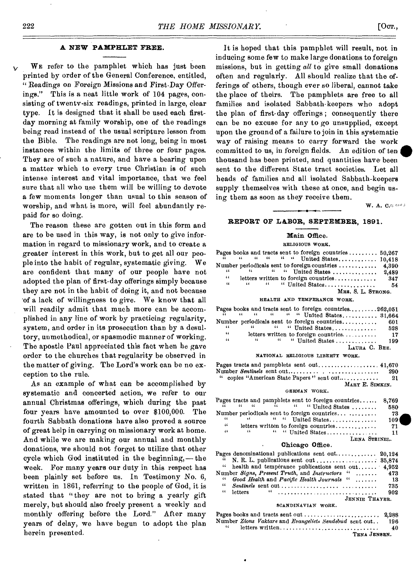#### **A NEW PAMPHLET FREE.**

WE refer to the pamphlet which has just been printed by order of the General Conference, entitled, " Readings on Foreign Missions and First-Day Offerings." This is a neat little work of 104 pages, consisting of twenty-six readings, printed in large, clear type. It is designed that it shall be used each firstday morning at family worship, one of the readings being read instead of the usual scripture lesson from the Bible. The readings are not long, being in most instances within the limits of three or four pages. They are of such a nature, and have a bearing upon a matter which to every true Christian is of such intense interest and vital importance, that we feel sure that all who use them will be willing to devote a few moments longer than usual to this season of worship, and what is more, will feel abundantly repaid for so doing.

The reason these are gotten out in this form and are to be used in this way, is not only to give information in regard to missionary work, and to create a greater interest in this work, but to get all our people into the habit of regular, systematic giving. We are confident that many of our people have not adopted the plan of first-day offerings simply because they are not in the habit of doing it, and not because 'of a lack of willingness to give. We know that all will readily admit that much more can be accomplished in any line of work by practicing regularity, system, and order in its prosecution than by a desultory, unmethodical, or spasmodic manner of working. The apostle Paul appreciated this fact when he gave order to the churches that regularity be observed in the matter of giving. The Lord's work can be no exception to the rule.

As an example of what can be accomplished by systematic and concerted action, we refer to our annual Christmas offerings, which during the past four years have amounted to over \$100,000. The fourth Sabbath donations have also proved a source of great help in carrying on missionary work at home. And while we are making our annual and monthly donations, we should not forget to utilize that other cycle which God instituted in the beginning,—the week. For many years our duty in this respect has been plainly set before us. In Testimony No. 6, written in 1861, referring to the people of God, it is stated that " they are not to bring a yearly gift merely, but should also freely present a weekly and monthly offering before the Lord." After many years of delay, we have begun to adopt the plan herein presented.

It is hoped that this pamphlet will result, not in inducing some few to make large donations to foreign missions, but in getting *all* to give small donations often and regularly. All should realize that the offerings of others, though ever so liberal, cannot take the place of theirs. The pamphlets are free to all families and isolated Sabbath-keepers who adopt the plan of first-day offerings ; consequently there can be no excuse for any to go unsupplied, except upon the ground of a failure to join in this systematic way of raising means to carry forward the work committed to us, in foreign fields. An edition of ten thousand bas been printed, and quantities have been sent to the different State tract societies. Let all heads of families and all isolated Sabbath-keepers supply themselves with these at once, and begin using them as soon as they receive them.

 $W. A. C.$  Corrected by  $C. C. C. C. C. C.$ 

#### **REPORT OF LABOR, SEPTEMBER, 1891.**

# **Main Office.**

RELIGIOUS WORK.

|          |               |               |  | Pages books and tracts sent to foreign countries $50,367$            |                    |       |
|----------|---------------|---------------|--|----------------------------------------------------------------------|--------------------|-------|
|          |               |               |  | $\mu$ $\mu$ $\mu$ $\mu$ $\mu$ United States 10,418                   |                    |       |
|          |               |               |  | Number periodleals sent to foreign countries $\dots\dots\dots$ 4,390 |                    |       |
| "        |               |               |  |                                                                      |                    |       |
| $\cdots$ |               |               |  | letters written to foreign countries                                 |                    | - 347 |
| 44       | $\mathbf{14}$ | $\sim$ 44 $-$ |  | " United States                                                      |                    | -54   |
|          |               |               |  |                                                                      | MRS. S. L. STRONG. |       |

HEALTH AND TEMPERANCE WORK.

|          |              |  |  | Pages books and tracts sent to foreign countries262,051 |     |
|----------|--------------|--|--|---------------------------------------------------------|-----|
|          |              |  |  | $\mu$ $\mu$ $\mu$ $\mu$ $\mu$ United States 31,664      |     |
|          |              |  |  | Number periodicals sent to foreign countries,           | 601 |
| $\cdots$ |              |  |  | " "United States                                        | 528 |
| "        |              |  |  | letters written to foreign countries                    | 17  |
| 44       | $\mathbf{1}$ |  |  | " "United States                                        | 199 |
|          |              |  |  | LAURA C. BEE.                                           |     |

#### NATIONAL RELIGIOUS LIBERTY WORK.

Pages tracts and pamphlets sent out  $\ldots$  41,670<br>Number Sentinels sent out 4000 Number *Sentinels* sent out 290 copies "American State Papers" sent out............. MARY E. SIMKIN.

#### GERMAN WORK.

|          |                                                   |  | Pages tracts and pamphlets sent to foreign countries | 8,769 |
|----------|---------------------------------------------------|--|------------------------------------------------------|-------|
|          | $\mathcal{U}$ and $\mathcal{U}$ and $\mathcal{U}$ |  | " "United States                                     | 580   |
|          |                                                   |  | Number periodicals sent to foreign countries         | 73    |
| $\cdots$ |                                                   |  | $\frac{1}{2}$ United States                          | 109   |
| 44       |                                                   |  | letters written to foreign countries                 |       |
| 44       |                                                   |  | " "United States                                     | 11    |
|          |                                                   |  | LENA STEINEL.                                        |       |
|          |                                                   |  | $M_{\text{max}}$ $\Lambda_{\text{max}}$              |       |

#### **• Chicago Office.**

| Pages denominational publications sent out $20,124$    |     |
|--------------------------------------------------------|-----|
|                                                        |     |
| " health and temperance publications sent out $4,952$  |     |
| Number Signs, Present Truth, and Instructors " 473     |     |
| " Good Health and Pacific Health Journals " $\dots$ 13 |     |
|                                                        | 735 |
|                                                        | 902 |
| JENNIE THAYER.                                         |     |

#### SCANDINAVIAN WORK.

|        | Number Zions Vaktare and Evangeliets Sendebud sent out | 196 |
|--------|--------------------------------------------------------|-----|
| $\sim$ | letters written                                        | 40  |
|        | TENA JENSEN.                                           |     |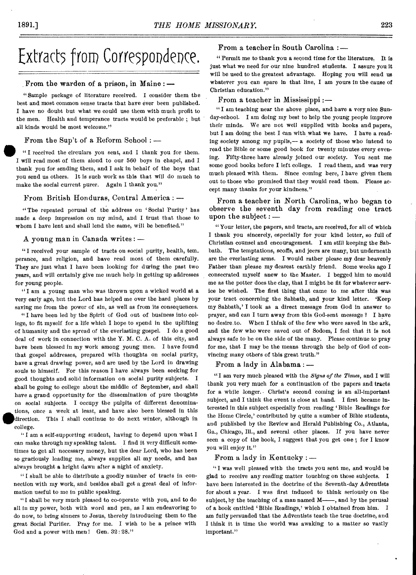# Extracts from Correspondence.

#### From the warden of a prison, in Maine : —

"Sample package of literature received. I consider them the best and most common sense tracts that have ever been published. I have no doubt but what we could use them with much profit to the men. Health and temperance tracts would be preferable ; but all kinds would be most welcome."

### From the Sup't of a Reform School : **\_**

**"** I received the circulars you sent, and I thank you for them. I will read most of them aloud to our 560 boys in chapel, and I thank you for sending them, and I ask in behalf of the boys that you send us others. It is such work as this that will do much to make the social current purer. Again I thank you."

# From British Honduras, Central America : —

" The repeated perusal of the address on 'Social Purity' has made a deep impression on my mind, and I trust that those to whom I have lent and shall lend the same, will be benefited."

#### A young man in Canada writes : —

"I received your sample of tracts on social purity, health, tem\_ perance, and religion, and have read most of them carefully. They are just what I have been looking for during the past two *years,* and will certainly give me much help in getting up addresses for young people.

"I am a young man who was thrown upon a wicked world at a very early age, but the Lord has helped me over the hard places by saving me from the power of sin, as well as from its consequences.

"I have been led by the Spirit of God out of business into college, to fit myself for a life which I hope to spend in the uplifting of humanity and the spread of the everlasting gospel. I do a good deal of work in connection with the Y. M. C. A. of this city, and have been blessed in my work among young men. I have found that gospel addresses, prepared with thoughts on social purity, have a great drawing power, and are used by the Lord in drawing souls to himself. For this reason I have always been seeking for good thoughts and solid information on social purity subjects. I shall be going to college about the middle of September, and shall have a grand opportunity for the dissemination of pure thoughts on social subjects. I occupy the pulpits of different denominations, once a week at least, and have also been blessed in this direction. This I shall continue to do next winter, although in college.

"I am a self-supporting student, having to depend upon what I can make through my speaking talent. I find it very difficult sometimes to get all necessary money, but the dear Lord, who has been so graciously leading me, always supplies all my needs, and has always brought a bright dawn after a night of anxiety.

" l shall be able to distribute a goodly number of tracts in connection with my work, and besides shall get a great deal of information useful to me in public speaking.

"I shall be very much pleased to co-operate with you, and to do all in my power, both with word and pen, as I am endeavoring to do now, to bring sinners to Jesus, thereby introducing them to the great Social Purifier. Pray for me. I wish to be a prince with God and a power with men! Gen. 32: 28."

# From a teacher in South Carolina :—

" Permit me to thank you a second time for the literature. It is just what we need for our nine hundred students. I assure you it will be used to the greatest advantage. Hoping you will send us whatever you can spare in that line, I am yours in the cause of Christian education."

From a teacher in Mississippi :—

"I am teaching near the above place, and have a very nice Sunday-school. I am doing my best to help the young people improve their minds. We are not well supplied with books and papers, but I am doing the best I can with what we have. I have a reading society among my pupils,— a society of those who intend to read the Bible or some good book for twenty minutes every evening. Fifty-three have already joined our society. You sent me some good books before I left college. I read them, and was very much pleased with them. Since coming here, I have given them out to those who promised that they would read them. Please accept many thanks for your kindness."

From a teacher in North Carolina, who began to observe the seventh day from reading one tract upon the subject : —

"Your letter, the papers, and tracts, are received, for all of which I thank you sincerely, especially for your kind letter, so full of Christian counsel and encouragement. I am still keeping the Sabbath. The temptations, scoffs, and jeers are many, but underneath are the everlasting arms. I would rather please my dear heavenly Father than please my dearest earthly friend. Some weeks ago I consecrated myself anew to the Master. I begged him to mould me as the potter does the clay, that I might be fit for whatever service he wished. The first thing that came to me after this was your tract concerning the Sabbath, and your kind letter. 'Keep my Sabbath,' I took as a direct message from God in answer to prayer, and can I turn away from this God-sent message? I have no desire to. When I think of the few who were saved in the ark, and the few who were saved out of Sodom, I feel that it is not always safe to be on the side of the many. Please continue to pray for me, that I may be the means through the help of God of convincing many others of this great truth."

From a lady in Alabama : —

"I am very much pleased with the *Signs of the Times,* and I will thank you very much for a continuation of the papers and tracts for a while longer.. Christ's second coming is an all-important subject, and I think the event is close at hand. I first became interested in this subject especially from reading 'Bible Readings for the Home Circle,' contributed by quite a number of Bible students, and published by the Review and Herald Publishing Co., Atlanta, Ga., Chicago, Ill., and several other places. If you have never seen a copy of the book, I suggest that you get one ; for I know you will enjoy it."

# From a lady in Kentucky : —

"I was well pleased with the tracts you sent me, and would be glad to receive any reading matter touching on those subjects. I have been interested in the doctrine of the Seventh-day Adventists for about a year. I was first induced to think seriously on the subject, by the teaching of a man named M—, and by the perusal of a book entitled 'Bible Readings,' which I obtained from him. I am fully persuaded that the Adventists teach the true doctrine, and I think it is time the world was awaking to a matter so vastly important."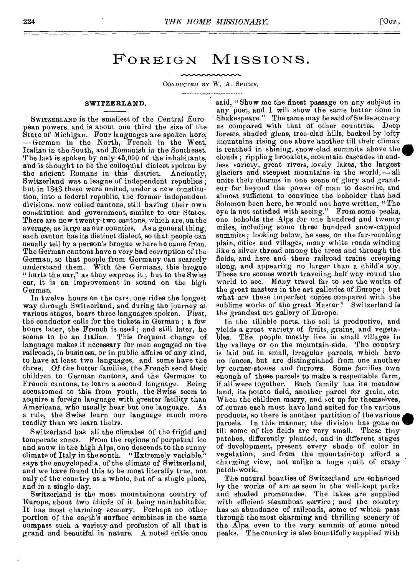# FOREIGN MISSIONS.

mmmm

#### CONDUCTED BY W. A. SPICER.

#### **SWITZERLAND.**

SWITZERLAND is the smallest of the Central European powers, and is about one third the size of the State of Michigan. Four languages are spoken here, — German in the North, French in the West, Italian in the South, and Romanish in the Southeast. The last is spoken by only 45,000 of the inhabitants, and is thought to be the colloquial dialect spoken by the ancient Romans in this district. Anciently, the ancient Romans in this district. Switzerland was a league of independent republics ; but in 1848 these were united, under a new constitution, into a federal republic, the former independent divisions, now called cantons, still having their own constitution and government, similar to our States. There are now twenty-two cantons, which are, on the average, as large as our counties. As a general thing, each canton has its distinct dialect, so that people can usually tell by a person's brogue where he came from. The German cantons have a very bad corruption *of* the German, so that people from Germany can scarcely understand them. With the Germans, this brogue "hurts the ear," as they express it; but to the Swiss ear, it is an improvement in sound on the high German.

In twelve hours on the cars, one rides the longest way through Switzerland, and during the journey at various stages, hears three languages spoken. First, the conductor calls for the tickets in German ; a few hours later, the French is used ; and still later, he seems to be an Italian. This frequent change of language makes it necessary for men engaged on the railroads, in business, or in public affairs of any kind, to have at least two languages, and some have the three. Of the better families, the French send their children to German cantons, and the Germans to French cantons, to learn a second language. Being accustomed to this from youth, the Swiss seem to acquire a foreign language with greater facility than Americans, who usually hear but one language. As a rule, the Swiss learn our language much more readily than we learn theirs.

Switzerland has all the climates of the frigid and temperate zones. From the regions of perpetual ice and snow in the high Alps, one descends to the sunny climate of Italy in the south. "Extremely variable," says the encyclopedia, of the climate of Switzerland, and we have found this to be most literally true, not only of the country as a whole, but of a single place, and in a single day.

Switzerland is the most mountainous country of Europe, about two thirds of it being uninhabitable. It has most charming scenery. Perhaps no other portion of the earth's surface combines in the same compass such a variety and profusion of all that is grand and beautiful in nature. A noted critic once said, " Show me the finest passage on any subject in any poet, and I will show the same better done in Shakespeare." The same may be said of Swiss scenery as compared with that of other countries. Deep forests, shaded glens, tree-clad hills, backed by lofty mountains rising one above another till their climax is reached in shining, snow-clad summits above the clouds ; rippling brooklets, mountain cascades in endless variety, great rivers, lovely lakes, the largest glaciers and steepest mountains in the world, — all unite their charms in one scene of glory and grandeur far beyond the power of man to describe, and almost sufficient to convince the beholder that had Solomon been here, he would not have written, "The eye is not satisfied with seeing." From some peaks, one beholds the Alps for one hundred and twenty miles, including some three hundred snow-capped summits; looking below, he sees, on the far-reaching plain, cities and villages, many white roads winding like a silver thread among the trees and through the fields, and here and there railroad trains creeping along, and appearing no larger than a child's toy. These are scenes worth traveling half way round the world to see. Many travel far to see the works of the great masters in the art galleries of Europe ; but what are these imperfect copies compared with the sublime works of the great Master? Switzerland is the grandest art gallery of Europe.

In the tillable parts, the soil is productive, and yields a great variety of fruits, grains, and vegetables. The people mostly live in small villages in the valleys or on the mountain-side. The country is laid out in small, irregular parcels, which have no fences, but are distinguished from one another by corner-stones and furrows. Some families own enough of these parcels to make a respectable farm, if all were together. Each family has its meadow land, its potato field, another parcel for grain, etc. When the children marry, and set up for themselves, of course each must have land suited for the various products, so there is another partition of the various parcels. In this manner, the division has gone on till some of the fields are very small. These tiny patches, differently planted, and in different stages of development, present every shade of color in vegetation, and from the mountain-top afford a charming view, not unlike a huge quilt of crazy patch-work.

The natural beauties of Switzerland are enhanced by the works of art as seen in the well-kept parks and shaded promenades. The lakes are supplied with efficient steamboat service; and the country has an abundance of railroads, some of which pass through the most charming and thrilling scenery of the Alps, even to the very summit of some noted peaks. The country is also bountifully supplied with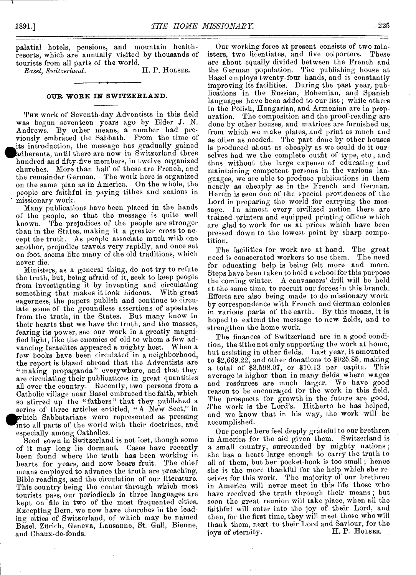palatial hotels, pensions, and mountain healthresorts, which aro annually visited by thousands of tourists from all parts of the world.<br>Basel, Switzerland. H. P. HOLSER.

*Basel, Switzerland.* 

#### **OUR WORK IN SWITZERLAND.**

THE work of Seventh-day Adventists in this field was begun seventeen years ago by Elder J. N. Andrews. By other means, a number had previously embraced the Sabbath. From the time of its introduction, the message has gradually gained adherents, until there are now in Switzerland three hundred and fifty-five members, in twelve organized churches. More than half of these are French, and the remainder German. The work here is organized on the same plan as in America. On the whole, the people are faithful in paying tithes and zealous in missionary work.

Many publications have been placed in the hands of the people, so that the message is quite well known. The prejudices of the people are stronger than in the States, making it a greater cross to accept the truth. As people associate much with one another, prejudice travels very rapidly, and once set on foot, seems like many of the old traditions, which never die.

Ministers, as a general thing, do not try to refute the truth, but, being afraid of it, seek to keep people from investigating it by inventing and circulating something that makes it look hideous. With great eagerness, the papers publish and continue to circulate some of the groundless assertions of apostates from the truth, in the States. But many know in their hearts that we have the truth, and the masses, fearing its power, see our work in a greatly magnified light, like the enemies of old to whom a few advancing Israelites appeared a mighty host. When a few books have been circulated in a neighborhood, the report is blazed abroad that the Adventists are "making propaganda" everywhere, and that they are circulating their publications in great quantities all over the country. Recently, two persons from a Catholic village near Basel embraced the faith, which so stirred up the "fathers" that they published a series of three articles entitled, "A New Sect," in **giavhich** Sabbatarians were represented as pressing into all parts of the world with their doctrines, and especially among Catholics.

Seed sown in Switzerland is not lost, though some of it may long lie dormant. Cases have recently been found where the truth has been working in hearts for years, and now bears fruit. The chief means employed to advance the truth are preaching, Bible readings, and the circulation of our literature. This country being the center through which most tourists pass, our periodicals in three languages are kept on file in two of the most frequented cities. Excepting Bern, we now have churches in the leading cities of Switzerland, of which may be named Basel, Zurich, Geneva, Lausanne, St. Gall, Bienne, and Chaux-de-fonds.

Our working force at present consists of two ministers, two licentiates, and five colporters. These are about equally divided between the French and the German population. The publishing house at Basel employs twenty-four hands, and is constantly improving its facilities. During the past year, publications in the Russian, Bohemian, and Spanish languages have been added to our list; while others in the Polish, Hungarian, and Armenian are in preparation. The composition and the proof-reading are done by other houses, and matrices are furnished us, from which we make plates, and print as much and as often as needed. The part done by other houses is produced about as cheaply as we could do it ourselves had we the complete outfit of type, etc., and thus without the large expense of educating and maintaining competent persons in the various languages, we are able to produce publications in them nearly as cheaply as in the French and German. Herein is seen one of the special providences of the Lord in preparing the world for carrying the message. In almost every civilized nation there are trained printers and equipped printing offices which are glad to work for us at prices which have been pressed down to the lowest point by sharp competition.

The facilities for work are at hand. The great need is consecrated workers to use them. The need for educating help is being felt more and more. Steps have been taken to hold a school for this purpose the coming winter. A canvassers' drill will be held at the same time, to recruit our forces in this branch. Efforts are also being made to do missionary work by correspondence with French and German colonies in various parts of the earth. By this means, it is hoped to extend the message to new fields, and to strengthen the home work.

The finances of Switzerland are in a good condition, the tithe not only supporting the work at home, but assisting in other fields. Last year, it amounted to \$2,669.22, and other donations to \$925.85, making a total of \$3,598.07, or \$10.13 per capita. This average is higher than in many fields where wages and resdurces are much larger. We have good reason to be encouraged for the work in this field. The prospects for growth in the future are good. The work is the Lord's. Hitherto he has helped, and we know that in his way, the work will be accomplished.

Our people here feel deeply grateful to our brethren in America for the aid given them, Switzerland is a small country, surrounded by mighty nations; she has a heart large enough to carry the truth to all of them, but her pocket-book is too small ; hence she is the more thankful for the help which she receives for this work. The majority of our brethren in America will never meet in this life those who have received the truth through their means ; but soon the great reunion will take place, when all the faithful will enter into the joy of their Lord, and then, for the first time, they will meet those who will thank them, next to their Lord and Saviour, for the joys of eternity.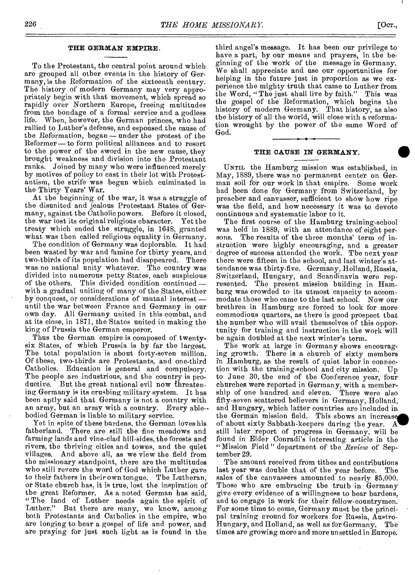#### **THE GERMAN EXPIRE.**

To the Protestant, the central point around which are grouped all other events in the history of Germany, is the Reformation of the sixteenth century. The history of modern Germany may very appropriately begin with that movement, which spread so rapidly over Northern Europe, freeing multitudes from the bondage of a formal service and a godless When, however, the German princes, who had rallied to Luther's defense, and espoused the cause of the Reformation, began  $-$  under the protest of the Reformer —to form political alliances and to resort to the power of the sword in the new cause, they brought weakness and division into the Protestant ranks. Joined by many who were influenced merely by motives of policy to cast in their lot with Protestantism, the strife was begun which culminated in the Thirty-Years' War.

At the beginning of the war, it was a struggle of the disunited and jealous Protestant States of Germany, against the Catholic powers. Before it closed, the war lost its original religious character. Yet the the war lost its original religious character. treaty which ended the struggle, in 1648, granted what was then called religious equality in Germany.

The condition of Germany was deplorable. It had been wasted by war and famine for thirty years, and two-thirds of its population had disappeared. There was no national unity whatever. The country was divided into numerous petty States, each suspicious of the others. This divided condition continued with a gradual uniting of many of the States, either by conquest, or considerations of mutual interest until the war between France and Germany in our own day. All Germany united in this combat, and at its close, in 1871, the States united in making the king of Prussia the German emperor.

Thus the German empire is composed of twentysix States, of which Prussia is by far the largest. The total population is about forty-seven million. Of these, two-thirds are Protestants, and one-third Catholics. Education is general and compulsory. The people are industrious, and the country is productive. But the great national evil now threatening Germany is its crushing military system. It has been aptly said that Germany is not a country with an army, but an army with a country. Every able-, bodied German is liable to military service.

Yet in spite of these burdens, the German loves his fatherland. There are still the fine meadows and farming lands and vine-clad hill-sides, the forests and rivers, the thriving cities and towns, and the quiet And above all, as we view the field from the missionary standpoint, there are the multitudes who still revere the word of God which Luther gave to their fathers in their own tongue. The Lutheran, or State church has, it is true, lost the inspiration of the great Reformer. As a noted German has said, "The land of Luther needs again the spirit of Luther." But there are many, we know, among both Protestants and Catholics in the empire, who are longing to hear a gospel of life and power, and are praying for just such light as is found in the

third angel's message. It has been our privilege to have a part, by our means and prayers, in the beginning of the work of the message in Germany. We shall appreciate and use our opportunities for helping in the future just in proportion as we experience the mighty truth that came to Luther from the Word, "The just shall live by faith." This was the gospel of the Reformation, which begins the history of modern Germany. That history, as also the history of all the world, will close with a reformation wrought by the power of the same Word of God.

### **THE CAUSE IN GERMANY.**

UNTIL the Hamburg mission was established, in May, 1889, there was no permanent center on German soil for our work in that empire. Some work bad been done for Germany from Switzerland, by preacher and canvasser, sufficient to show how ripe was the field, and how necessary it was to devote continuous and systematic labor to it.

The first course of the Hamburg training-school was held in 1889, with an attendance of eight per-<br>sons. The results of the three months' term of in-The results of the three months' term of instruction were highly encouraging, and a greater degree of success attended the work. The next year there were fifteen in the school, and last winter's attendance was thirty-five. Germany, Holland, Russia, Switzerland, Hungary, and Scandinavia were represented. The present mission building in Hamburg was crowded to its utmost capacity to accommodate those who came to the last school. Now our brethren in Hamburg are forced to look for more commodious quarters, as there is good prospect that the number who will avail themselves of this opportunity for training and instruction in the work will be again doubled at the next winter's term.

The work at large in Germany shows encouraging growth. There is a church of sixty members in Hamburg, as the result of quiet labor in connection with the training-school and city mission. Up to June 30, the end of the Conference year, four churches were reported in Germany, with a membership of one hundred and eleven. There were also fifty-seven scattered believers in Germany, Holland, and Hungary, which latter countries are included in the German mission field. This sbows an increase of about sixty Sabbath-keepers during the year. still later report of progress in Germany, will be found in Elder Conradi's interesting article in the "Mission Field" department of the *Review* of September 29.

The amount received from tithes and contributions last year was double that of the year before. The sales of the canvassers amounted to nearly \$5,000. Those who are embracing the truth in Germany give every evidence of a willingness to bear burdens, and to engage in work for their fellow-countrymen. For some time to come, Germany must be the principal training ground for workers for Russia, Austro-Hungary, and Holland, as well as for Germany. The times are growing more and more unsettled in Europe.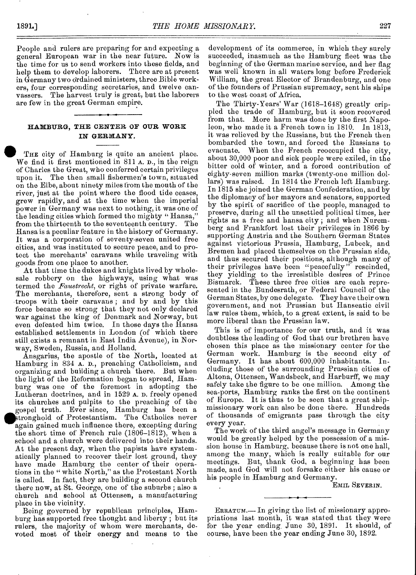People and rulers are preparing for and expecting a general European war in the near future. Now is the time for us to send workers into these fields, and help them to develop laborers. There are at present in Germany two ordained ministers, three Bible workers, four corresponding secretaries, and twelve canvassers. The harvest truly is great, but the laborers are few in the great German empire.

# HAMBURG, THE CENTER OF OUR WORK IN GERMANY.

THE city of Hamburg is quite an ancient place. We find it first mentioned in 811 A. D., in the reign of Charles the Great, who conferred certain privileges upon it. The then small fishermen's town, situated on the Elbe, about ninety miles trom the mouth of the river, just at the point where the flood tide ceases, grew rapidly, and at the time when the imperial power in Germany, was next to nothing, it was one of the leading cities which formed the mighty " Hansa," from the thirteenth to the seventeenth century. The Hansa is a peculiar feature in the history of Germany. It was a corporation of seventy-seven united free cities, and was instituted to secure peace, and to protect the merchants' caravans while traveling with goods from one place to another.

At that time the dukes and knights lived by wholesale robbery on the highways, using what was termed the *Faustrecht,* or right of private warfare. The merchants, therefore, sent a strong body of troops with their caravans ; and by and by this force became so strong that they not only declared war against the king of Denmark and Norway, but even defeated him twice. In those days the Hansa established settlements in London (of which there still exists a remnant in East India Avenue), in Norway, Sweden, Russia, and Holland.

Ansgarius, the apostle of the North, located at Hamburg in 834 A. D., preaching Catholicism, and organizing and building a church there. But when the light of the Reformation began to spread, Hamburg was one of the foremost in adopting the Lutheran doctrines, and in 1529 A. D. freely opened its churches and pulpits to the preaching of the gospel truth. Ever since, Hamburg has been a stronghold of Protestantism. The Catholics never again gained much influence there, excepting during the short time of French rule (1806-1812), when a school and a church were delivered into their hands. At the present day, when the papists have systematically planned to recover their lost ground, they have made Hamburg the center of their operations in the " white North," as the Protestant North is called. In fact, they are building a second church there now, at St. George, one of the suburbs ; also a church and school at Ottensen, a manufacturing place in the vicinity.

Being governed by republican principles, Hamburg has supported free thought and liberty ; but its rulers, the majority of whom were merchants, devoted most of their energy and means to the development of its commerce, in which they surely succeeded, inasmuch as the Hamburg fleet was the beginning of the German marine service, and her flag was well known in all waters long before Frederick William, the great Elector of Brandenburg, and one of the founders of Prussian supremacy, sent his ships to the west coast of Africa.

The Thirty-Years' War (1618-1648) greatly crippled the trade of Hamburg, but it soon recovered from that. More harm was done by the first Napoleon, who made it a French town in 1810. In 1813, it was relieved by the Russians, but the French then bombarded the town, and forced the Russians to evacuate. When the French reoccupied the city, about 30,000 poor and sick people were exiled, in the bitter cold of winter, and a forced contribution of eighty-seven million marks (twenty-one million dollars) was raised. In 1814 the French left Hamburg. In 1815 she joined the German Confederation, and by the diplomacy of her mayors and senators, supported by the spirit of sacrifice of the people, managed to preserve, during all the unsettled political times, her rights as a free and hansa city ; and when Nuremberg and Frankfort lost their privileges in 1866 by supporting Austria and the Southern German States against victorious Prussia, Hamburg, Lubeck, and Bremen had placed themselves on the Prussian side, and thus secured their positions, although many of their privileges have been "peacefully" rescinded, they yielding to the irresistible desires of Prince Bismarck. These three free cities are each represented in the Bundesrath, or Federal Council of the German States, by one delegate. They have their own government, and not Prussian but Hanseatic civil law rules them, which, to a great extent, is said to be more liberal than the Prussian law.

This is of importance for our truth, and it was doubtless the leading of God that our brethren have chosen this place as the missionary center for the German work. Hamburg is the second city of Germany. It has about 600,000 inhabitants. Including those of the surrounding Prussian cities of Altona, Ottensen, Wandsbeck, and Harburff, we may safely take the figure to be one million. Among the sea-ports, Hamburg ranks the first on the continent of Europe. It is thus to be seen that a great shipmissionary work can also be done there. Hundreds of thousands of emigrants pass through the city every year.

The work of the third angel's message in Germany would be greatly helped by the possession of a mission house in Hamburg, because there is not one hall, among the many, which is really suitable for our meetings. But, thank God, a beginning has been made, and God will not forsake either his cause or his people in Hamburg and Germany.

EMIL SEVERIN.

ERRATUM.- In giving the list of missionary appropriations last month, it was stated that they were for the year ending. June 30, 1891. It should, of course, have been the year ending June 30, 1892.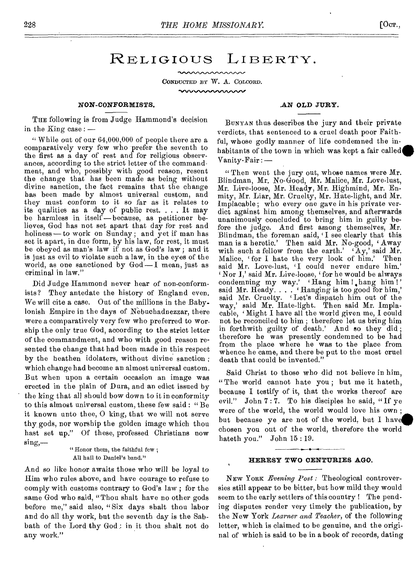# RELIGIOUS LIBERTY.

CONDUCTED BY W. A. COLCORD. munaanaanaan

### **NON-CONFORMISTS.**

THE following is from Judge Hammond's decision in the King case : —

" While out of our  $64,000,000$  of people there are a comparatively very few who prefer the seventh to the first as a day of rest and for religious observances, according to the strict letter of the commandment, and who, possibly with good reason, resent the change that has been made as being without divine sanction, the fact remains that the change has been made by almost universal custom, and they must conform to it so far as it relates to its qualities as a day of public rest. . . . It may be harmless in itself—because, as petitioner believes, God has not set apart that day for rest and holiness—to work on Sunday; and yet if man has set it apart, in due form, by his law, for rest, it must be obeyed as man's law if not as God's law ; and it is just as evil to violate such a law, in the eyes of the world, as one sanctioned by  $God - I$  mean, just as criminal in law."

Did Judge Hammond never hear of non-conformists? They antedate the history of England even. We will cite a case. Out of the millions in the Babylonish Empire in the days of Nebuchadnezzar, there were a comparatively very few who preferred to worship the only true God, according to the strict letter of the commandment, and who with good reason resented the change that had been made in this respect by the heathen idolaters, without divine sanction ; which change had become an almost universal custom. But when upon a certain occasion an image was erected in the plain of Dura, and an edict issued by the king that all should bow down to it in conformity to this almost universal custom, these few said : " Be it known unto thee, 0 king, that we will not serve thy, gods, nor worship the golden image which thou hast set up." Of these, professed Christians now sing,—

### " Honor them, the faithful few; All hail to Daniel's band."

And so like honor awaits those who will be loyal to Him who rules above, and have courage to refuse to comply with customs contrary to God's law ; for the same God who said, "Thou shalt have no other gods before me," said also, "Six days shalt thou labor and do all thy work, but the seventh day is the Sabbath of the Lord thy God : in it thou shalt not do any work."

#### **AN OLD JURY.**

BUNYAN thus describes the jury and their private verdicts, that sentenced to a cruel death poor Faithful, whose godly manner of life condemned the inhabitants of the town in which was kept a fair called Vanity-Fair : —

" Then went the jury out, whose names were Mr. Blindman, Mr. No-Good, Mr. Malice, Mr. Love-lust, Mr. Live-loose, Mr. Heady, Mr. Highmind, Mr. Enmity, Mr. Liar, Mr. Cruelty, Mr. Hate-light, and Mr. Implacable ; who every one gave in his private verdict against him among themselves, and afterwards unanimously concluded to bring him in guilty before the judge. And first among themselves, Mr. Blindman, the foreman said, 'I see clearly that this man is a heretic.' Then said Mr. No-good, 'Away with such a fellow from the earth.'  $A_y$ , said Mr. Malice, for I hate the very look of him.' Then said Mr. Love-lust, 'I could never endure him.' Nor I,' said Mr. Live-loose, ' for he would be always Not 1, said Mr. Live-loose, for he would be always<br>condemning my way.' 'Hang him !, hang him !' said Mr. Heady.  $\dots$  'Hanging is too good for him,' said Mr. Cruelty. ' Let's dispatch him out of the way,' said Mr. Hate-light. Then said Mr. Implacable, 'Might I have all the world given me, I could not be reconciled to him ; therefore let us bring him **in** forthwith guilty of death.' And so they did ; therefore he was presently condemned to be had from the place where he was to the place from whence he came, and there be put to the most cruel death that could be invented."

Said Christ to those who did not believe in him, " The world cannot hate you ; but me it hateth, because I testify of it, that the works thereof are evil." John 7 : 7. To his disciples he said, " If ye were of the world, the world would love his own ; but because ye are not of the world, but I have **chosen you** out of the world, therefore the world **hateth you." John 15 : 19.** 

#### **HERESY TWO CENTURIES AGO.**

NEW YORK *Evening Post :* Theological controversies still appear to be bitter, but how mild they would seem to the early settlers of this country ! The pending disputes render very timely the publication, by the New York *Learner and Teacher,* of the following letter, which is claimed to be genuine, and the original of which is said to be in a book of records, dating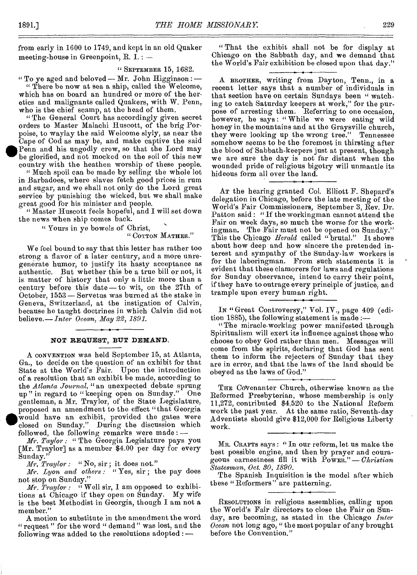from early in 1600 to 1749, and kept in an old Quaker meeting-house in Greenpoint,  $R. I. : -$ 

### " SEPTEMBER 15, 1682.

" To ye aged and beloved — Mr. John Higginson :  $-$ 

" There be now at sea a ship, called the Welcome, which has on board an hundred or more of the heretics and malignants called Quakers, with W. Penn, who is the chief scamp, at the head of them.

" The General Court has accordingly given secret orders to Master Malachi Huscott, of the brig Porpoise, to waylay the said Welcome slyly, as near the Cape of Cod as may be, and make captive the said Penn and his ungodly crew, so that the Lord may be glorified, and not mocked on the soil of this new country with the heathen worship of these people.

" Much spoil can be made by selling the whole lot in Barbadoes, whore slaves fetch good prices in rum and sugar, and we shall not only do the Lord great service by punishing the wicked, but we shall make great good for his minister and people.

" Master Huscott feels hopeful, and I will set down the news when ship comes back.

" Yours in ye bowels of Christ,

" COTTON MATHER."

We feel bound to say that this letter has rather too strong a flavor of a later century, and a more unregenerate humor, to justify its hasty acceptance as authentic. But whether this be a true bill or not, it is matter of history that only a little more than a century before this date — to wit, on the 27th of October, 1553 — Sorvetus was burned at the stake in Geneva, Switzerland, at the instigation of Calvin, because he taught doctrines in which Calvin did not believe.— *Inter Ocean, May 22, 1891.* 

#### **NOT REQUEST, BUT DEMAND.**

A CONVENTION was held September 15, at Atlanta, Ga., to decide on the question of an exhibit for that State at the World's Fair. Upon the introduction of a resolution that an exhibit be made, according to the *Atlanta Journal*, "an unexpected debate sprung<br>up" in regard to "keeping open on Sunday." One up" in regard to "keeping open on Sunday." gentleman, a Mr. Traylor, of the State Legislature, proposed an amendment to the effect "that Georgia  $\begin{array}{c}\n\mathbf{u} \\
\mathbf{g} \\
\mathbf{p} \\
\mathbf{w} \\
\mathbf{c} \\
\mathbf{f} \\
\mathbf{f} \\
\mathbf{g}\n\end{array}$ would have an exhibit, provided the gates were closed on Sunday." During the discussion which followed, the following remarks were made : *—* 

*Mr. Taylor : "* The Georgia Legislature pays you [Mr. Traylor] as a member \$4.00 per day for every Sunday."

*Mr. Traylor : "No,* sir ; it does not."

*Mr. Lyon and others : "Yes,* sir ; the pay does not stop on Sunday."

*Mr. Traylor : "Well sir, I am opposed to exhibi*tions at Chicago if they open on Sunday. My wife is the best Methodist in Georgia, though I am not a member."

A motion to substitute in the amendment the word "request " for the word " demand" was lost, and the following was added to the resolutions adopted : —.

" That the exhibit shall not be for display at Chicago on the Sabbath day, and we demand that the World's Fair exhibition be closed upon that day."

A BROTHER, writing from Dayton, Tenn., in a recent letter says that a number of individuals in that section have on certain Sundays been " watching to catch Saturday keepers at work," for the purpose of arresting them. Referring to one occasion, however, he says: "While we were eating wild honey in the mountains and at the Graysville church, they were looking up the wrong tree." Tennessee somehow seems to be the foremost in thirsting after the blood of Sabbath-keepers just at present, though we are sure the day is not far distant when the wounded pride of religious bigotry will unmantle its hideous form all over the land.

AT the hearing granted Col. Elliott F. Shepard's delegation in Chicago, before the late meeting of the World's Fair Commissioners, September 3, Rev. Dr. Patton said : "If the workingman cannot attend the Fair on week days, so much the worse for the workingman. The Fair must not be opened on Sunday." This the Chicago *Herald* called "brutal." It shows about how deep and how sincere the pretended interest and sympathy of the Sunday-law workers is for the laboringman. From such statements it is evident that these clamorers for laws and regulations for Sunday observance, intend to carry their point, if they have to outrage every principle of justice, and trample upon every human right.

IN " Great Controversy," Vol. IV., page 409 (edition 1885), the following statement is made :—

" The miracle-working power manifested through Spiritualism will exert its influence against those who choose to obey God rather than men. Messages will come from the spirits, declaring that God has sent them to inform the rejecters of Sunday that they are in error, and that the laws of the land should be obeyed as the laws of God."

THE Covenanter Church, otherwise known as the Reformed Presbyterian, whose membership is only 11,272, contributed \$4,520 to the National Reform work the past year. At the same ratio, Seventh-day Adventists should give \$12,000 for Religious Liberty work.

MR. CRAFTS says : " In our reform, let us make the best possible engine, and then by prayer and courageous earnestness fill it with POWER."- *Christian Statesman, Oct. 30, 1890.* 

The Spanish Inquisition is the model after which these "Reformers" are patterning.

RESOLUTIONS in religious assemblies, calling upon the World's Fair directors to close the Fair on Sunday, are becoming, as stated in the Chicago *Inter Ocean* not long ago, " the most popular of any brought before the Convention."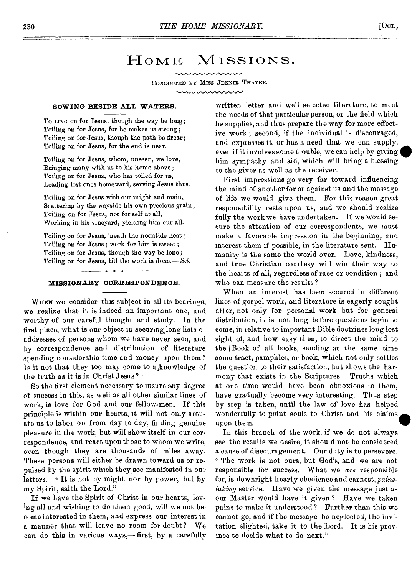# HOME MISSIONS.

CONDUCTED BY MISS JENNIE THAYER.

#### **SOWING BESIDE ALL WATERS.**

TOILING on for Jesus, though the way be long; Toiling on for Jesus, for he makes us strong ; Toiling on for Jesus, though the path be drear ; Toiling on for Jesus, for the end is near.

Toiling on for Jesus, whom, unseen, we love, Bringing many with us to his home above ; Toiling on for Jesus, who has toiled for us, Leading lost ones homeward, serving Jesus thus.

Toiling on for Jesus with our might and main, Scattering by the wayside his own precious grain ; Toiling on for Jesus, not for self at all, Working in his vineyard, yielding him our all.

Toiling on for Jesus, 'neath the noontide heat ; Toiling on for Jesus ; work for him is sweet ; Toiling on for Jesus, though the way be lone ; Toiling on for Jesus, till the work is done.— *Sel.* 

# **MISSIONARY CORRESPONDENCE.**

WHEN we consider this subject in all its bearings, we realize that it is indeed an important one, and worthy of our careful thought and study. In the first place, what is our object in securing, long lists of addresses of persons whom we have never seen, and by correspondence and distribution of literature spending considerable time and money upon them? Is it not that they too may come to  $a_{\ast}$ knowledge of the truth as it is in Christ Jesus?

So the first element necessary to insure any degree of success in this, as well as all other similar lines of work, is love for God and our fellow-men. If this principle is within our hearts, it will not only actuate us to labor on from day to day, finding genuine pleasure in the work, but will show itself in our correspondence, and react upon those to whom we write, even though they are thousands of miles away. These persons will either be drawn toward us or repulsed by the spirit which they,see manifested in our letters. " It is not by might nor by power, but by my Spirit, saith the Lord."

If we have the Spirit of Christ in our hearts, loving all and wishing to do them good, will we not become interested in them, and express our interest in a manner that will leave no room for doubt? We can do this in various ways,— first, by a carefully written letter and well selected literature, to meet the needs of that particular person, or the field which he supplies, and thus prepare the way for more effective work ; second, if the individual is discouraged, and expresses it, or has a need that we can supply, even if it involves some trouble, we can help by giving him sympathy and aid, which will bring a blessing to the giver as well as the receiver.

First impressions go very far toward influencing the mind of another for or against us and the message of life we would give them. For this reason great responsibility rests upon us, and we should realize fully the work we have undertaken. If we would secure the attention of our correspondents, we must make a favorable impression in the beginning, and interest them if possible, in the literature sent. Humanity is the same the world over. Love, kindness, and true Christian courtesy will win their way to the hearts of all, regardless of race or condition ; and who can measure the results?

When an interest has been secured in different lines of gospel work, and literature is eagerly sought after, not only for personal work but for general distribution, it is not long before questions begin to come, in relative to important Bible doctrines long lost sight of, and how easy then, to direct the mind to the Book of all books, sending at the same time some tract, pamphlet, or book, which not only settles the question to their satisfaction, but shows the harmony that exists in the Scriptures. Truths which at one time would have been obnoxious to them, have gradually become very interesting. Thus step by step is taken, until the law of love has helped wonderfully to point souls to Christ and his claims. upon them.

In this branch of the work, if we do not always see the results we desire, it should not be considered a cause of discouragement. Our duty is to persevere. " The work is not ours, but God's, and we are not responsible for success. What we *are* responsible for, is downright hearty obedience and earnest, *painstaking* service. Have we given the message just as our Master would have it given ? Have we taken pains to make it understood ? Further than this we cannot go, and if the message be neglected, the invitation slighted, take it to the Lord. It is his province to decide what to do next."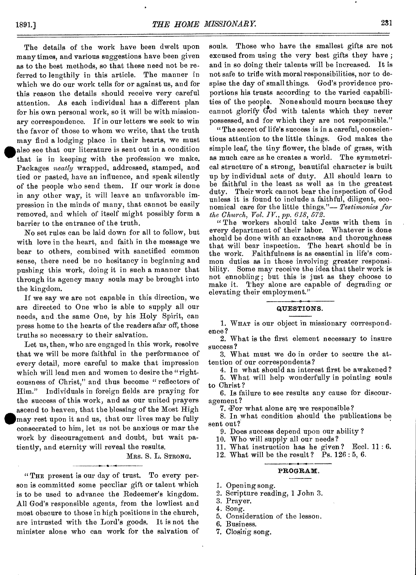The details of the work have been dwelt upon many times, and various suggestions have been given as to the best methods, so that these need not be referred to lengthily in this article. The manner in which we do our work tells for or against us, and for this reason the details should receive very careful attention. As each individual has a different plan for his own personal work, so it will be with missionary correspondence. If in our letters we seek to win the favor of those to whom we write, that the truth may find a lodging place in their hearts, we must **\*also** see that our literature is sent out in a condition that is in keeping with the profession we make. Packages *neatly* wrapped, addressed, stamped, and tied or pasted, have an influence, and speak silently of the people who send them. If our work is done in any other way, it will leave an unfavorable impression in the minds of many, that cannot be easily removed, and which of itself might possibly form a barrier to the entrance of the truth.

No set rules can be laid down for all to follow, but with love in the heart, and faith in the message we bear to others, combined with sanctified common sense, there need be no hesitancy in beginning and pushing this work, doing it in such a manner that through its agency many souls may be brought into the kingdom.

If we say we are not capable in this direction, we are directed to One who is able to supply all our needs, and the same One, by his Holy Spirit, can press home to the hearts of the readers afar off, those truths so necessary to their salvation.

Let us, then, who are engaged in this work, resolve that we will be more faithful in the performance of every detail, more careful to make that impression which will lead men and women to desire the "righteousness of Christ," and thus become "reflectors of Him." Individuals in foreign fields are praying for the success of this work, and as our united prayers ascend to heaven, that the blessing of the Most High may rest upon it and us, that our lives may be fully consecrated to him, let us not be anxious or mar the consecrated to him, let us not be anxious or mar the work by discouragement and doubt, but wait patiently, and eternity will reveal the results.

MRS. S. L. STRONG.

"THE present is our day of trust. To every person is committed some peculiar gift or talent which is to be used to advance the Redeemer's kingdom. All God's responsible agents, from the lowliest and most obscure to those in high positions in the church, are intrusted with the Lord's goods. It is not the minister alone who can work for the salvation of souls. Those who have the smallest gifts are not excused from using the very best gifts they have ; and in so doing their talents will be increased. It is not safe to trifle with moral responsibilities, nor to despise the day of small things. God's providence proportions his trusts according to the varied capabilities of the people. None should mourn because they cannot glorify God with talents which they never possessed, and for which they are not responsible."

" The secret of life's success is in a careful, conscientious attention to the little things. God makes the simple leaf, the tiny flower, the blade of grass, with as much care as he creates a world. The symmetrical structure of a strong, beautiful character is built up by individual acts of duty. All should learn to be faithful in the least as well as in the greatest duty. Their work cannot bear the inspection of God unless it is found to include a faithful, diligent, economical care for the little things."— *Testimonies for the Church, Vol. IV., pp. 618, 572.* 

" The workers should take Jesus with them in every department of their labor. Whatever is done should be done with an exactness and thoroughness that will bear inspection. The heart should be in the work. Faithfulness is as essential in life's common duties as in those involving greater responsibility. Some may receive the idea that their work is not ennobling; but this is just as they choose to make it. They alone are capable of degrading or elevating their employment."

#### **QUESTIONS.**

1. WHAT is our object in missionary correspondence?

2. What is the first element necessary to insure success?

3. What must we do in order to secure the attention of our correspondents?

4. In what should an interest first be awakened ?

5. What will help wonderfully in pointing souls to Christ ?

6. Is failure to see results any cause for discouragement?

7. For what alone are we responsible?

8. In what condition should the publications be sent out?

9. Does success depend upon our ability ?

10. Who will supply all our needs?

11. What instruction has he given? Eccl.  $11:6$ .

12. What will be the result? Ps. 126: 5, 6.

#### **PROGRAM.**

1. Opening song.

- 2. Scripture reading, 1 John 3.
- 3. Prayer.
- 4. Song.
- 5. Consideration of the lesson.
- 6. Business.
- 7. Closing song.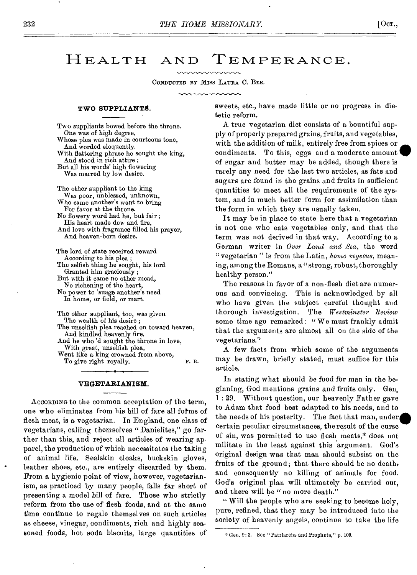# **HEALTH** AND TEMPERANCE.

CONDUCTED BY MISS LAURA C. BEE.

# TWO SUPPLIANTS.

Two suppliants bowed before the throne. One was of high degree, Whose plea was made in courteous tone, And worded eloquently. With flattering phrase he sought the king, And stood in rich attire ; But all his words' high flowering Was marred by low desire. The other suppliant to the king

Was poor, unblessed, unknown, Who came another's want to bring For favor at the throne. No flowery word had he, but fair ; His heart made dew and fire, And love with fragrance filled his prayer, And heaven-born desire.

The lord of state received reward According to his plea ; The selfish thing he sought, his lord Granted him graciously ; But with it came no other mead, No richening of the heart, No power to 'suage another's need In home, or field, or mart.

The other suppliant, too, was given The wealth of his desire; The unselfish plea reached on toward heaven, And kindled heavenly fire. And he who 'd sought the throne in love, With great, unselfish plea, Went like a king crowned from above, To give right royally. F. B.

#### VEGETARIANISM.

ACCORDING to the common acceptation of the term, one who eliminates from his bill of fare all fotms of flesh meat, is a vegetarian. In England, one class of vegetarians, calling themselves "Danielites," go farther than this, and reject all articles of wearing apparel, the production of which necessitates the taking of animal life. Sealskin cloaks, buckskin gloves, leather shoes, etc., are entirely discarded by them. From a hygienic point of view, however, vegetarianism, as practiced by many people, falls far short of presenting a model bill of fare. Those who strictly reform from the use of flesh foods, and at the same time continue to regale themselves on such articles as cheese, vinegar, condiments, rich and highly seasoned foods, hot soda biscuits, large quantities of

sweets, etc., have made little or no progress in dietetic reform.

A true vegetarian diet consists of a bountiful supply of properly prepared grains, fruits, and vegetables, with the addition of milk, entirely free from spices or condiments. To this, eggs and a moderate amount of sugar and butter may be added, though there is rarely any need for the last two articles, as fats and sugars are found in the grains and fruits in sufficient quantities to meet all the requirements of the system, and in much better form for assimilation than the form in which they are usually taken.

It may be in place to state here that a vegetarian is not one who eats vegetables only, and that the term was not derived in that way. According to a German writer in *Over Land and Sea,* the word " vegetarian " is from the Latin, *home vegetus,* meaning, among the Romans, a " strong, robust, thoroughly healthy person."

The reasons in favor of a non-flesh diet are numerous and convincing. This is acknowledged by all who have given the subject careful thought and thorough investigation. The *Westminster Review*  some time ago remarked : "We must frankly admit that the arguments are almost all on the side of the vegetarians."

A few facts from which some of the arguments may be drawn, briefly stated, must suffice for this article.

In stating what should be food for man in the beginning, God mentions grains and fruits only. Gen. 1 : 29. Without question, our heavenly Father gave to Adam that food best adapted to his needs, and to the needs of his posterity. The fact that man, under. certain peculiar circumstances, the result of the curse of sin, was permitted to use flesh meats,\* does not militate in the least against this argument. God's original design was that man should subsist on the fruits of the ground; that there should be no death, and consequently no killing of animals for food. God's original plan will ultimately be carried out, and there will be "no more death."

" Will the people who are seeking to become holy, pure, refined, that they may be introduced into the society of heavenly angels, continue to take the life

<sup>\*</sup> Gen. 9: 3. See "Patriarchs and Prophets," p. 109.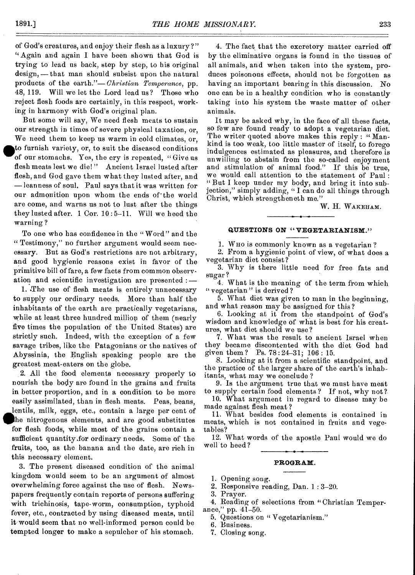of God's creatures, and enjoy their flesh as a luxury ?" " Again and again I have been shown that God is trying to lead us back, step by step, to his original design, — that man should subsist upon the natural products of the earth."— *Christian Temperance,* pp. 48,119. Will we let the Lord lead us? Those who reject flesh foods are certainly, in this respect, working in harmony with God's original plan.

But some will say, We need flesh meats to sustain our strength in times of severe physical taxation, or, We need them to keep us warm in cold climates, or, • to furnish variety, or, to suit the diseased conditions of our stomachs. Yes, the cry is repeated, "Give us flesh meats lest we die! " Ancient Israel lusted after flesh, and God gave them what they lusted after, and — leanness of soul. Paul says that it was written for our admonition upon whom the ends of the world are come, and warns us not to lust after the things they lusted after. 1 Cor. 10 : 5-11. Will we heed the warning ?

To one who has confidence in the " Word " and the " Testimony," no further argument would seem necessary. But as God's restrictions are not arbitrary, and good hygienic reasons exist in favor of the primitive bill of fare, a few facts from common observation and scientific investigation are presented : —

1. The use of flesh meats is entirely unnecessary to supply our ordinary needs. More than half the inhabitants of the earth are practically vegetarians, while at least three hundred million of them (nearly five times the population of the United States) are strictly such. Indeed, with the exception of a few savage tribes, like the Patagonians or the natives of Abyssinia, the English speaking people are the greatest meat-eaters on the globe.

2. All the food elements necessary properly to nourish the body are found in the grains and fruits in better proportion, and in a condition to be more easily assimilated, than in flesh meats. Peas, beans, lentils, milk, eggs, etc., contain a large per cent of **IPhe** nitrogenous elements, and are good substitutes for flesh foods, while most of the grains contain a sufficient quantity.for ordinary needs. Some of the fruits, too, as the banana and the date, are rich in this necessary element.

3. The present diseased condition of the animal kingdom would seem to be an argument of almost overwhelming force against the use of flesh. Newspapers frequently contain reports of persons suffering with trichinosis, tape-worm, consumption, typhoid fever, etc., contracted by using diseased meats, until it would seem that no well-informed person could be tempted longer to make a sepulcher of his stomach.

4. The fact that the excretory matter carried off by the eliminative organs is found in the tissues of all animals, and when taken into the system, produces poisonous effects, should not be forgotten as having an important bearing in this discussion. No one can be in a healthy condition who is constantly taking into his system the waste matter of other animals.

It may be asked why, in the face of all these facts, so few are found ready to adopt a vegetarian diet. The writer quoted above makes this reply : " Mankind is too weak, too little master of itself, to forego indulgences estimated as pleasures, and therefore **is**  unwilling to abstain from the so-called enjoyment and stimulation of animal food." If this be true, we would call attention to the statement of Paul : "But I keep under my body, and bring it into subjection," simply adding, "I can do all things through Christ, which strengtheneth me."

W. H. WAKEHAM.

#### **QUESTIONS ON " VEGETARIANISM."**

1. Who is commonly known as a vegetarian ?

2. From a hygienic point of view, of what does a vegetarian diet consist?

3. Why is there little need for free fats and sugar?

4. What is the meaning of the term from which " vegetarian" is derived?

5. What diet was given to man in the beginning, and what reason may be assigned for this?

6. Looking at it from the standpoint of God's wisdom and knowledge of what is best for his creatures, what diet should we use?

7. What was the result to ancient Israel when they became discontented with the diet God bad given them ? Ps. 78:24-31; 106: 15.

8. Looking at it from a scientific standpoint, and the practice of the larger share of the earth's inhabitants, what may we conclude ?

9. Is the argument true that we must have meat to supply certain food elements ? If not, why not? 10. What argument in regard to disease may be

made against flesh meat?

11. What besides food elements is contained in meats, which is not contained in fruits and vegetables?

12. What words of the apostle Paul would we do well to heed ?

#### **PROGRAM.**

- 1. Opening song.
- 2. Responsive reading, Dan. 1 : 3-20.

3. Prayer.

4. Reading of selections from "Christian Temperance," pp. 41-50.

5. Questions on " Vegetarianism."

6. Business.

7. Closing song.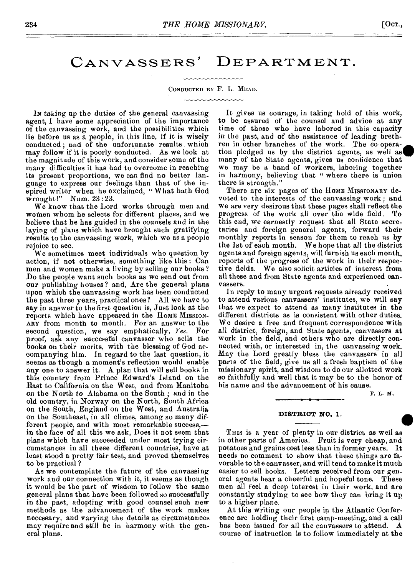CANVASSERS' DEPARTMENT.

#### CONDUCTED BY F. L. MEAD.

IN taking up the duties of the general canvassing agent, I have some appreciation of the importance of the canvassing work, and the possibilities which lie before us as a people, in this line, if it is wisely conducted ; and of the unfortunate results which may follow if it is poorly conducted. As we look at the magnitude of this work, and consider some of the many difficulties it has had to overcome in reaching its present proportions, we can find no better language to express our feelings than that of the inspired writer when he exclaimed, " What hath God wrought!" Num. 23:23.

We know that the Lord works through men and women whom he selects for different places, and we believe that he has guided in the counsels and in the laying of plans which have brought such gratifying results to the canvassing work, which we as a people rejoice to see.

We sometimes meet individuals who question by action, if not otherwise, something like this : Can men and women make a living by selling our books ? Do the people want such books as we send out from our publishing houses? and, Are the general plans upon which the canvassing work has been conducted the past three years, practical ones? All we have to say in answer to the first question is, Just look at the reports which have appeared in the HOME MISSION-ARY from month to month. For an answer to the second question, we say emphatically, *Yes.* For proof, ask any successful canvasser who sells the books on their merits, with the blessing of God accompanying him. In regard to the last question, it seems as though a moment's reflection would enable any one to answer it. A plan that will sell books in this country from Prince Edward's Island on the East to California on the West, and from Manitoba *on* the North to Alabama on the South ; and in the old country, in Norway on the North, South Africa on the South, England on the West, and Australia on the Southeast, in all climes, among so many different people, and with most remarkable success, in the face of all this we ask, Does it not seem that plans which have succeeded under most trying circumstances in all these different countries, have at least stood a pretty fair test, and proved themselves to be practical ?

As we contemplate the future of the canvassing work and our connection with it, it seems as though it would be the part of wisdom to follow the same general plans that have been followed so successfully in the past, adopting with good counsel such new methods as the advancement of the work makes necessary, and varying the details as circumstances may require and still be in harmony with the general plans.

It gives us courage, in taking hold of this work, to be assured of the counsel and advice at any time of those who have labored in this capacity in the past, and of the assistance of leading brethren in other branches of the work. The cooperation pledged us by the district agents, as well as  $\blacksquare$ many of the State agents, gives us confidence that we may be a band of workers, laboring together in harmony, believing that " where there is union there is strength."

There are six pages of the HOME MISSIONARY devoted to the interests of the canvassing work ; and we are very desirous that these pages shall reflect the progress of the work all over the wide field. To this end, we earnestly request that all State secretaries and foreign general agents, forward their monthly reports in season for them to reach us by the 1st of each month. We hope that all the district agents and foreign agents, will furnish us each month, reports of the progress of the work in their respective fields. We also solicit articles of interest from all these and from State agents and experienced canvassers.

In reply to many urgent requests already received to attend various canvassers' institutes, we will say that we expect to attend as many institutes in the different districts as is consistent with other duties. We desire a free and frequent correspondence with all district, foreign, and State agents, canvassers at work in the field, and others who are directly connected with, or interested in, the canvassing work. May the Lord greatly bless the canvassers in all parts of the field, give us all a fresh baptism of the missionary spirit, and wisdom to do our allotted work so faithfully and well that it may be to the honor of his name and the advancement of his cause.

F. L. M.

#### **DISTRICT NO. 1.**

THIS is a year of plenty in our district as well as in other parts of America. Fruit is very cheap, and potatoes and grains cost less than in former years. It needs no comment to show that these things are favorable to the canvasser, and will tend to make it much easier to sell books. Letters received from our general agents bear a cheerful and hopeful tone. These men all feel a deep interest in their work, and are constantly studying to see bow they can bring it up to a higher plane.  $\bullet$ 

At this writing our people in the Atlantic Conference are holding their first camp-meeting, and a call has been issued for all the canvassers to attend. course of instruction is to follow immediately at the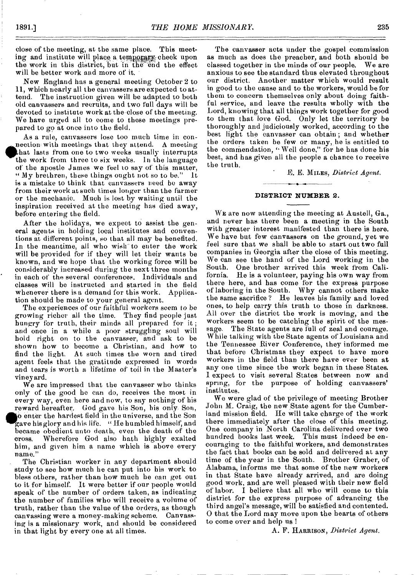close of the meeting, at the same place. This meeting and institute will place a temporary check upon the work in this district, but in the end the effect will be better work and more of it.

New England has a general meeting October 2 to 11, which nearly all the canvassers are expected to attend. The instruction given will be adapted to both old canvassers and recruits, and two full days will be devoted to institute work at the-close of the meeting. We have urged all to come to these meetings prepared to go at once into the field.

As a rule, canvassers lose too much time in connection with meetings that they attend. A meeting that lasts from one to two weeks usually interrupts the work from three to six weeks. In the language of the apostle James we feel to say of this matter, "My brethren, these things ought not so to be." It is a mistake to think that canvassers need be away from their work at such times longer than the farmer or the mechanic. Much is lost by waiting until the inspiration received at the meeting has died away, before entering the field.

After the holidays, we expect to assist the general agents in holding local institutes and conventions at different points, so that all may be benefited. In the meantime, all who wish to enter the work will be provided for if they will let their wants be known, and we hope that the working force will be considerably increased during the next three months in each of the several conferences. Individuals and classes will be instructed and started in the field whenever there is a demand for this work. Application should be made to your general agent.

The experiences of our faithful workers seem to be growing richer all the time. They find people just hungry for truth, their minds all prepared for it ; and once in a while a poor struggling soul will hold right on to the canvasser, and ask to be shown how to become a Christian, and how to find the light. At such times the worn and tired agent feels that the gratitude expressed in words and tears is worth a lifetime of toil in the Master's viney ard.

We are impressed that the canvasser who thinks only of the good be can do, receives the most in every way, even here and now, to say nothing of his reward hereafter. God gave his Son, his only. Son, **o** enter the hardest field in the universe, and the Son gave his glory and his life. " He humbled himself, and became obedient unto death, even the death of the cross. Wherefore God also bath highly exalted him, and given him a name which is above every name."

The Christian worker in any department should study to see how much he can put into his work to bless others, rather than how much he can get out to it for himself. It were better if our people would speak of the number of orders taken, as indicating the number of families who will receive a volume of truth, rather than the value of the orders, as though canvassing were a money-making scheme. Canvassing is a missionary work, and should be considered in that light by every one at all times.

The canvasser acts under the gospel commission as much as does the preacher, and both should be classed together in the minds of our people. We are anxious to see the standard thus elevated throughout our district. Another matter which would result in good to the cause and to the workers, would be for them to concern themselves only about doing faithful service, and leave the results wholly with the Lord, knowing that all things work together for good to them that love God. Only let the territory be thoroughly and judiciously worked, according to the best light the canvasser can obtain ; and whether the orders taken be few or many, he is entitled to the commendation, "Well done," for he has done his best, and has given all the people a chance to receive the truth.

E. E. MILES, *District Agent.* 

#### **DISTRICT NUMBER** 2.

WE are now attending the meeting at Austell, Ga., and never has there been a meeting in the South with greater interest manifested than there is here. We have but few canvassers on the ground, yet we feel sure that we shall be able to start out two full companies in Georgia after the close of this meeting. We can see the hand of the Lord working in the South. One brother arrived this week from California. He is a volunteer, paying his own way from there here, and has come for the express purpose of laboring in the South. Why cannot others make the same sacrifice ? He leaves his family and loved ones, to help carry this truth to those in darkness. All over the district the work is moving, and the workers seem to be catching the spirit of the message. The State agents are full of zeal and courage. While talking with the State agents of Louisiana and the Tennessee River Conference, they informed me that before Christmas they expect to have more workers in the field than there have ever been at any one time since the work began in these States. I expect to visit several States between now and spring, for the purpose of holding canvassers' institutes.

We were glad of the privilege of meeting Brother John M. Craig, the new State agent for the Cumber- . land mission field. He will take charge of the work there immediately after the close of this meeting. One company in North Carolina delivered over two hundred books last week. This must indeed be encouraging to the faithful workers, and demonstrates the fact that books can be sold and delivered at any time of the year in the South. Brother Graber, of Alabama, informs me that some of the new workers in that State have already arrived, and are doing good work, and are well pleased with their new field of labor. I believe that all who will come to this district for the express purpose of advancing the third angel's message, will be satisfied and contented. 0 that the Lord may move upon the hearts of others to come over and help us !

A. F. HARRISON, *District Agent.*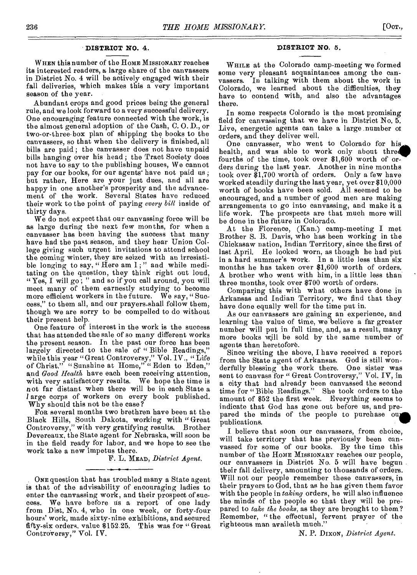### **DISTRICT NO. 4.**

WHEN this number of the HOME MISSIONARY reaches its interested readers, a large share of the canvassers in District No. 4 will be actively engaged with their fall deliveries, which makes this a very important season of the year.

Abundant crops and good prices being the general rule, and we look forward to a very successful delivery. One encouraging feature connected with the work, is the almost general adoption of the Cash, C. 0. D., or two-or-three-box plan of shipping the books to the canvassers, so that when the delivery is finished, all bills are paid ; the canvasser does not have unpaid bills banging over his bead ; the Tract Society does not have to say to the publishing houses, We cannot pay for our books, for our agents' have not paid us ; but rather, Here are your just dues, and all are happy in one another's prosperity and the advancement of the work. Several States have reduced their work to the point of paying *every bill* inside of thirty days.

We do not expect that our canvassing force will be as large during the next few months, for when a canvasser has been having the success that many have had the past season, and they hear Union College giving such urgent invitations to attend school the coming winter, they are seized with an irresistible longing to say, "Here am I;" and while meditating on the question, they think right out loud, "Yes, I will go; " and so if you call around, you will meet many of them earnestly studying to become more efficient workers in the future. We say, " Success," to them all, and our prayers.shall follow them, though we are sorry to be compelled to do without their present help.

One feature of interest in the work is the success that has attended the sale of so many different works the present season. In the past our force has been largely directed to the sale of "Bible Readings," while this year "Great Controversy," Vol. 1V., "Life of Christ," "Sunshine at Home,"" Eden to Eden," and *Good Health* have each been receiving attention, with very satisfactory results. We hope the time is not far distant when there will be in each State a *<sup>I</sup>*arge corps of workers on every book published. Why should this not be the case?

FOR several months two brethren have been at the Black Hills, South Dakota, working with " Great Controversy," with very gratifying results. Brother Devereaux, the State agent for Nebraska, will soon be in the field ready for labor, and we hope to see the work take a new impetus there.

F. L. MEAD, *District Agent.* 

ONE question that has troubled many a State agent is that of the advisability of encouraging ladies to enter the canvassing work, and their prospect of success. We have before us a report of one lady from Dist. No. 4, who in one week, or forty-four hours' work, made sixty-nine exhibitions, and secured fifty-six orders, value 8152.25. This was for " Great Controversy," Vol. IV.

#### **DISTRICT NO.** 5.

WHILE at the Colorado camp-meeting we formed some very pleasant acquaintances among the canvassers. In talking with them about the work in Colorado, we learned about the difficulties, they have to contend with, and also the advantages there.

In some respects Colorado is the most promising field for canvassing that we have in District No. 5. Live, energetic agents can take a large number of orders, and they deliver well.

One canvasser, who went to Colorado for his health, and was able to work only about three fourths of the time, took over \$1,600 worth of orders during the last year. Another in nine months took over \$1,700 worth of orders. Only a few have worked steadily during the last year, yet over \$10,000 worth of books have been sold. All seemed to be encouraged, and a number of good men are making arrangements to go into canvassing, and make it a life work. The prospects are that much more will be done in the fitture in Colorado.

At the Florence, (Kan.) camp-meeting I met Brother S. B. Davis, who has been working in the Chickasaw nation, Indian Territory, since the first of last April. He looked worn, as though he had put in a hard summer's work. In a little less than six months he has taken over \$1,600 worth of orders. A brother who went with him, in a little less than three months, took over \$700 worth of orders.

Comparing this with what others have done in Arkansas and Indian Territory, we find that they have done equally well for the time put in.

As our canvassers are gaining an experience, and learning the value of time, we believe a far greater number will put in full time, and, as a result, many more books will be sold by the same number of agents than heretofore.

Since writing the above, I have received a report from the State agent of Arkansas. God is still wonderfully blessing the work there. One sister was sent to canvass for " Great Controversy," Vol. IV, in a city that had already been canvassed the second time for "Bible Readings." She took orders to the amount of \$52 the first week. Everything seems to indicate that God has gone out before us, and prepared the minds of the people to purchase out publications.

I believe that soon our canvassers, from choice, will take territory that has previously been canvassed for some of our books. By the time this number of the HOME MISSIONARY reaches our people, our canvassers in District No. 5 will have begun their fall delivery, amounting to thousands of orders. Will not our people remember these canvassers, in their prayers to God, that as he has given them favor with the people in *taking* orders, he will also influence the minds of the people so that they will be prepared to *take the books,* as they are brought to them? Remember, "the effectual, fervent prayer of the righteous man availeth much."

N. P. DIXON, *District Agent.*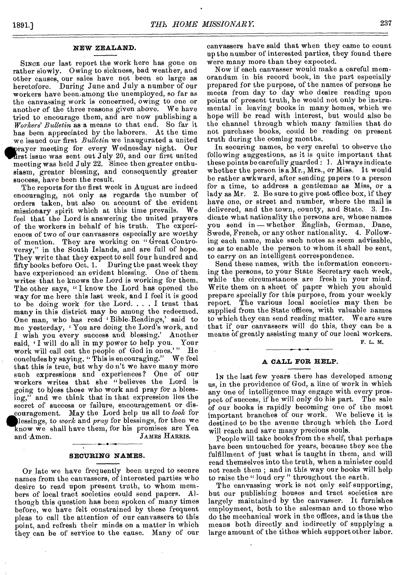# **NEW ZEALAND.**

SINCE our last report the work here has gone on rather slowly. Owing to sickness, bad weather, and other causes, our sales have not been so large as heretofore. During June and July a number of our workers have been among the unemployed, so far as the canvassing work is concerned, owing to one or another of the three reasons given above. We have tried to encourage them, and are now publishing a *Workers' Bulletin* as a means to that end. So far it has been appreciated by the laborers. At the time we issued our first *Bulletin* we inaugurated a united dirgayer meeting for every Wednesday night. Our lirst issue was sent out July 20, and our first united meeting was held July 22. Since then greater enthusiasm, greater blessing, and consequently greater success, have been the result.

The reports for the first week in August are indeed encouraging, not only as regards the number of orders taken, but also on account of the evident missionary spirit which at this time prevails. We feel that the Lord is answering the united prayers of the workers in behalf of his truth. The experiences of' two of our canvassers especially are worthy of mention. They are working on "Great Controversy," in the South Islands, and are full of hope. They write that they expect to sell four hundred and fifty books before Oct. 1. During the past week they have experienced an evident blessing. One of them writes that he knows the Lord is working for them. The other says, "I know the Lord has opened the way for me here this last week, and I feel it is good to be doing work for the Lord. . . . I trust that many in this district may be among the redeemed. One man, who has read ' Bible-Readings,' said to me yesterday, ' You are doing the Lord's work, and I wish you every success and blessing.' Another said, 'I will do all in my power to help you. Your work will call out the people of God in ones.'" He concludes by saving. "This is encouraging." We feel concludes by saying, "This is encouraging." that this is true, but why do n't we have many more such expressions and experiences? One of our workers writes that she "believes the Lord is going to bless those who work and pray for a blessing," and we think that in that expression lies the secret of success or failure, encouragement or discouragement. May the Lord help us all to *look* for lessings, to *work* and *pray* for blessings, for then we know we shall have them, for his promises are Yea and Amen. JAMES HARRIS. •

#### **SECURING NAMES.**

OF late we have frequently been urged to secure names from the canvassers, of interested parties who desire to read upon present truth, to whom members of local tract societies could send papers. Although this question has been spoken of many times before, we have felt constrained by these frequent pleas to call the attention of our canvassers to this point, and refresh their minds on a matter in which they can be of service to the cause. Many of our canvassers have said that when they came to count up the number of interested parties, they found there were many more than they expected.

Now if each canvasser would make a careful memorandum in his record book, in the part especially prepared for the purpose, of the names of persons he meets from day to day who desire reading upon points of present truth, he would not only be instrumental in leaving books in many homes, which we hope will be read with interest, but would also be the channel through which many families that do not purchase books, could be reading on present truth during the coming months.

In securing names, be very careful to observe the following suggestions, as it is quite important that these points be carefully guarded : 1. Always indicate whether the person is a Mr., Mrs., or Miss. It would be rather awkward, after sending papers to a person for a time, to address a gentleman as Miss, or a lady as Mr. 2. Be sure to give post office box, if they have one, or street and number, where the mail is delivered, and the town, county, and State. 3. Indicate what nationality the persons are, whose names you send in—whether English, German, Dane, Swede, French, or any other nationality. 4. Following each name, make such notes as seem advisable, so as to enable the person to whom it shall be sent, to carry on an intelligent correspondence.

Send these names, with the information concerning the persons, to your State Secretary each week, while the circumstances are fresh in your mind. Write them on a sheet of paper which you should prepare specially for this purpose, from your weekly report. The various local societies may then be supplied from the State offices, with valuable names to which they can send reading matter. We are sure that if our canvassers will do this, they can be a means of greatly assisting many of our local workers. F. L. M.

#### **A CALL FOR HELP.**

IN the last few years there has developed among us, in the providence of God, a line of work in which any one of intelligence may engage with every prospect of success, if he will only do his part. The sale of our books is rapidly becoming one of the most important branches of our work. We believe it is destined to be the avenue through which the Lord will reach and save many precious souls.

People will take books from the shelf, that perhaps have been untouched for years, because they see the fulfillment of just what is taught in them, and will read themselves into the truth, when a minister could not reach them ; and in this way our books wilt help to raise the " loud cry " throughout the earth.

The canvassing work is not only self supporting, but our publishing houses and tract societies are largely maintained by the canvasser. It furnishes employment, both to the salesman and to those who do the mechanical work in tbe offices, and is thus the means both directly and indirectly of supplying a large amount of the tithes which support other labor.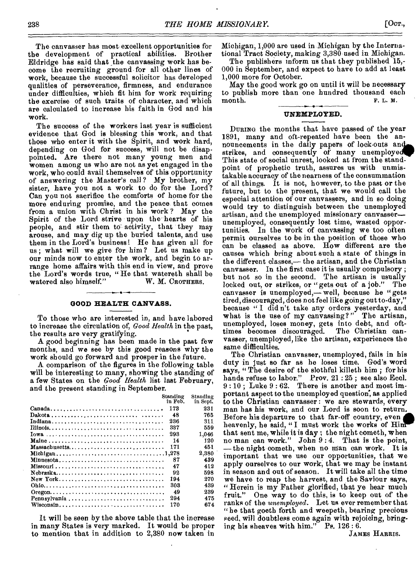The canvasser has most excellent opportunities for the development of practical abilities. Brother Eldridge has said that the canvassing work has become the recruiting ground for all other lines of work, because the successful solicitor has developed qualities of perseverance, firmness, and endurance under difficulties, which fit him for work requiring the exercise of such traits of character, and which are calculated to increase his faith in God and his work.

The success of the workers last year is sufficient evidence that God is blessing this work, and that those who enter it with the Spirit, and work hard, depending on God for success, will not be disappointed. Are there not many young men and women among us who are not as yet engaged in the work, who could avail themselves of this opportunity of answering the Master's call? My brother, my sister, have you not a work to do for the Lord? Can you not sacrifice the comforts of home for the more enduring promise, and the peace that comes from a union with Christ in his work ? May the Spirit of the Lord strive upon the hearts of his people, and stir them to.activity, that they may arouse, and may dig up the buried talents, and use them in the Lord's business! He has given all for us ; what will we give for him ? Let us make up our minds now to enter the work, and begin to arrange home affairs with this end in view, and prove the Lord's words true, "He that watereth shall be watered also himself." W. M. CROTHERS. watered also himself."

#### **GOOD HEALTH CANVASS.**

To those who aro interested in, and have labored to increase the circulation of, *Good Health* in the past, the results are very gratifying.

A good beginning has been made in the past few months, and we see by this good reasons why the work should go forward and prosper in the future.

A comparison of the figures in the following table will be interesting to many, showing the standing of a few States on the *Good Health* list last February, and the present standing in September.

|                  | Standing<br>in Feb. | Standing<br>in Sept. |
|------------------|---------------------|----------------------|
|                  | 173                 | 231                  |
|                  | 48                  | 765                  |
|                  | 236                 | 311                  |
|                  | 337                 | 559                  |
|                  | 293                 | 1.046                |
|                  | 14                  | 120                  |
| $M$ assachusetts | 171                 | 451                  |
|                  |                     | 2,380                |
| Minnesota        | 87                  | 439                  |
|                  | 47                  | 412                  |
|                  | 92                  | 598                  |
| New York         | 194                 | 270                  |
|                  | 303                 | 439                  |
|                  | -49                 | 239                  |
|                  | 294                 | 475                  |
|                  | 170                 | 674                  |
|                  |                     |                      |

It will be seen by the above table that the increase in *many* States is very marked. It would be proper to mention that in addition to 2,380 now taken in

Michigan, 1,000 are used in Michigan by the International Tract Society, making 3,380 used in Michigan.

The publishers inform us that they published 15,-000 in September, and expect to have to add at least 1,000 more for October.

May the good work go on until it will be necessary to publish more than one hundred thousand each month. F. L. *M.* 

# **UNEMPLOYED.**

DURING the months that have passed of the year 1891, many and oft-repeated have been the announcements in the daily papers of lock-outs **an**  strikes, and consequently of many unemployed. This state of social unrest, looked at from the standpoint of prophetic truth, assures us with unmistakable accuracy of the nearness of the consummation of all things. It is not, however, to the past or the future, but to the present, that we would call the especial attention of our canvassers, and in so doing would try to distinguish between the unemployed artisan, and the unemployed missionary canvasser- unemployed, consequently lost time, wasted opportunities. In the work of canvassing we too often permit ourselves to be in the position of those who can be classed as above. How different are the causes which bring about such a state of things in the different classes,— the artisan, and the Christian canvasser. In the first case it is usually compulsory ; but not so in the second. The artisan is usually locked out, or strikes, or "gets out of a job." The canvasser is unemployed,— well, because he "gets tired, discouraged, does not feel like going out to-day," because "I didn't take any orders yesterday, and what is the use of my canvassing?" The artisan, unemployed, loses money, gets into debt, and oft-<br>times becomes discouraged. The Christian cantimes becomes discouraged. vasser, unemployed, like the artisan, experiences the same difficulties.

The Christian canvasser, unemployed, fails in his duty in just so far as he loses time. God's word *says, "* The desire of the slothful killeth him ; for his hands refuse to labor." Prov. 21 : 25 ; see also Eccl. 9 : 10 ; Luke 9 : 62. There is another and most important aspect to the unemployed question, as applied to the Christian canvasser : we are stewards, every man has his work, and our Lord is soon to return. Before his departure to that far-off country, even heavenly, he said, "I must work the works of Him that sent me, while it is day ; the night cometh, when no man can work." John 9 : 4. That is the point, —the night cometh, when no man can work. It is important that we use our opportunities, that we apply ourselves to our work, that we may be instant in season and out of season. It will take all the time we have to reap the harvest, and the Saviour says, "Herein is my Father glorified, that ye hear much fruit." One way to do this, is to keep out of the ranks of the *unemployed.* Let us ever remember that "he that goeth forth and weepeth, bearing precious seed, will doubtless come again with rejoicing, bringing his sheaves with him." Ps. 126: 6.

JAMES HARRIS.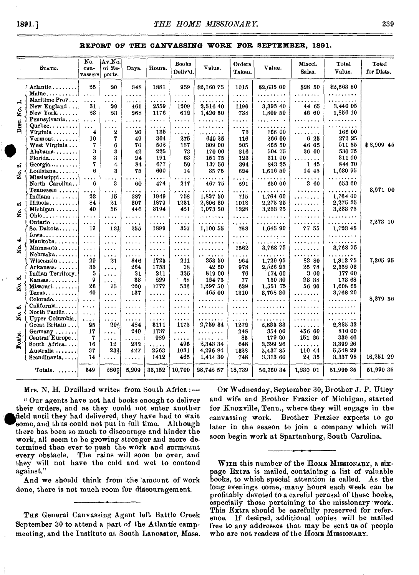### **REPORT OF THE CANVASSING WORK FOR SEPTEMBER, 1891.**

|        | <b>STATE.</b>                             | No.<br>can-<br>vassers         | Av.No.<br>of Re-<br>ports. | Days.           | Hours.       | <b>Books</b><br>Deliv'd.                            | Value.          | Orders<br>Taken.  | Value.                   | Miscel.<br>Sales. | Total<br>Value.         | Total<br>for Dists. |
|--------|-------------------------------------------|--------------------------------|----------------------------|-----------------|--------------|-----------------------------------------------------|-----------------|-------------------|--------------------------|-------------------|-------------------------|---------------------|
|        | Atlantic<br>$Maine \ldots$                | 25<br>$\sim 100$ km s $^{-1}$  | 20<br>$\cdots$             | 348<br>$\ldots$ | 1881<br>.    | 959<br>$\ldots$ .                                   | \$2,160 75<br>. | 1015<br>المتعادية | \$2,635 00<br>. <b>.</b> | \$28 50<br>.      | \$2,663 50<br>.         |                     |
| ᅾ      | Maritime Prov                             | $\cdots$                       | $\cdots$                   | .               | .            | .                                                   | . . <b>.</b>    | .                 | .                        | .                 | 2.12.12.12.12.2         |                     |
| ó      | New England                               | 31                             | 29                         | 461             | 2559         | 1209                                                | 2,516 40        | 1190              | 3,395 40                 | 44 65             | 3,440 05                |                     |
| Ž      | New York                                  | 23                             | 23                         | 268             | 1176         | 612                                                 | 1,420 50        | 738               | 1.809 50                 | 46 60             | 1,856 10                |                     |
| Drsm.  | Pennsylvania                              | $\cdots$                       | .                          | .               | .            | .                                                   | .               | .                 | . . <i>. .</i>           | .<br>.            | .                       |                     |
|        | $Queue$ bec                               | $\cdots$                       | $\cdots$                   | .               | .            | $\ddotsc$                                           |                 | .                 | .                        |                   | .                       |                     |
|        | Virginia                                  | 4                              | $\boldsymbol{2}$           | 20              | 135          | .                                                   |                 | 73                | 166 00                   | $\ddotsc$         | 166 00                  |                     |
|        | $Vermont$                                 | 10                             | 7                          | 49              | 304          | 275                                                 | 649 25          | 116               | 266 00                   | 6 25              | 272 25                  |                     |
|        | West Virginia                             | 7                              | 6                          | 70              | 502          | 137                                                 | 309 00          | 205               | 465 50                   | 46 05             | 51155                   | \$8,909 45          |
|        | Alabama                                   | 3                              | 3                          | 42              | 225          | 73                                                  | 170 00          | 216               | 504 75                   | 26 00             | 530 75                  |                     |
|        | $\textbf{Florida}\ldots\ldots\ldots$      | 3<br>7                         | g                          | 24              | 191          | 63                                                  | 15175           | 123               | 311 00                   | .                 | 311 00                  |                     |
| ં      | Georgia                                   |                                | 4<br>R                     | 34              | 677          | 59                                                  | 137 50          | 394               | 843 25                   | 145               | 844 70                  |                     |
| g.     | Louisiana                                 | 6                              |                            | 75              | 600          | 14                                                  | 3575            | 624               | 1.616 50                 | 14 45             | 1,630 95                |                     |
|        | Mississippi<br>North Carolina.            | $\ddot{\phantom{1}}$<br>6      | $\ddot{\phantom{a}}$<br>3  | .<br>60         | .<br>474     | <b>The State</b><br>217                             | .<br>46775      | .<br>291          | .<br>650 00              | .<br>3 60         | .<br>653 60             |                     |
|        | Tennessee                                 | $\cdots$                       | $\cdots$                   | .               | .            | بالمعامل                                            | .<br>1,827 50   | .                 | .                        | .                 | $\cdots$<br>1,764 00    | 3,971 00            |
|        | Indiana                                   | 23<br>84                       | 15                         | 287<br>307      | 1949<br>1879 | 758<br>1231                                         | 2,806 30        | 715               | 1.764 00<br>2,275 35     | .                 | 2,275 35                |                     |
| ణ్     | Illinois<br>$\mathbf{M}$ ichigan $\cdots$ | 40                             | 21<br>36                   | 446             | 3194         | 421                                                 | 1,073 50        | 1018<br>1328      | 3,233 75                 | .                 | 3,233 75                |                     |
| g      | $Ohio \ldots$                             |                                |                            |                 |              |                                                     |                 |                   |                          | .                 |                         |                     |
|        | Ontario                                   | $\cdots$                       | .                          | $\cdots$        | .            | .                                                   | .               | .                 | .<br>.                   | .                 | .<br>.                  | 7,273 10            |
|        | So. Dakota                                | $\cdots$<br>19                 | .<br>$13\frac{1}{5}$       | $\cdots$<br>255 | .<br>1899    | $\mathbf{r}$ , $\mathbf{r}$ , $\mathbf{r}$ ,<br>357 | .<br>1,100 55   | .<br>768          | 1,645 90                 | .<br>77 55        | 1,723 45                |                     |
| ⊣      | $Iowa$                                    | $\cdots$                       | $\cdots$                   | .               | $\cdots$     | $\cdots$                                            | .               | .                 | .                        | .                 | . <i>.</i>              |                     |
|        | Manitoba                                  | $\sim 100$                     | .                          | $\cdots$        | .            | $\cdots$                                            | .               | .                 | $\ldots$                 |                   | . <b>. .</b>            |                     |
| 2.     | Minnesota<br>Nebraska                     | $\cdots$                       | .                          |                 | وأحاماها     | .                                                   | .               | 1562              | 3,768 75                 | .                 | 3,768 75                |                     |
|        | $Wiseonsin \ldots$ .                      | $\cdots$<br>29                 | .<br>21                    | .<br>346        | .<br>1725    | $\cdots$<br>211                                     | .<br>353 50     | .                 | .<br>1,729 95            | .<br>83 80        | 1.1.1.1.1.1<br>1,813 75 | 7,305 95            |
|        | Arkansas                                  | 33                             |                            | 264             | 1753         | 18                                                  | 4250            | 964<br>978        | 2,526 25                 | 25 78             | 2,552 03                |                     |
|        | Indian Territory.                         | 5                              | .                          | 21              | 211          | 325                                                 | 819 00          | 76                | 174 00                   | 3 00              | 177 00                  |                     |
| ນລ້    | $K$ ansas $\ldots \ldots \ldots$          | $\boldsymbol{9}$               | $\cdots$                   | 33              | 229          | 58                                                  | 124 75          | 77                | 150 30                   | 23 38             | 173 68                  |                     |
|        | Missouri                                  | 26                             | .<br>15                    | 220             | 1777         | 536                                                 | 1,297 50        | 629               | 1.551 75                 | 56 90             | 1,608 65                |                     |
| ż      | $Texas \ldots$                            | 40                             | .                          | 137             | .            | .                                                   | 465 00          | 1310              | 3,768 20                 | .                 | 3,768 20                |                     |
|        | $Colorado. \ldots \ldots$                 | $\alpha$ , $\alpha$ , $\alpha$ | .                          | $\cdots$        | .            | .                                                   | .               | .                 | .                        | $\cdots$          | .                       | 8,279 56            |
| စ      | California                                | $\cdots$                       | .                          | .               | $\sim$       | $\cdots$                                            | .               | .                 | .                        | $\cdots$          | .                       |                     |
|        | North Pacific                             | $\sim 100$                     | .                          | .               | $\cdots$     | $\cdots$                                            | . <b>.</b>      | .                 | .                        | $\ldots$          | .                       |                     |
| g<br>Z | Upper Columbia.                           | $\cdots$                       | .                          | .               | .            | .                                                   | . <b>.</b>      | .                 | .                        | $\cdots$          | .                       |                     |
|        | Great Britain                             | 25                             | 20≹                        | 484             | 3111         | 1175                                                | 2,759 34        | 1272              | 2,825 33                 | . <i>.</i>        | 2,825 33                |                     |
|        | Germany                                   | 17                             | $\cdots$                   | 249             | 1737         | $\cdots$                                            | .               | 248               | 354 00                   | 456 00            | 810 00                  |                     |
| Fon'N. | Central Europe.                           | 7                              | $\cdots$                   | $\cdots$        | 989          | .                                                   | .               | 85                | 179 20                   | 151 26            | 330 46                  |                     |
|        | South Africa                              | 16                             | 12                         | 232             | .            | 496                                                 | 2,343 34        | 648               | 3,399 26                 | .                 | 3,399 26                |                     |
|        | Australia                                 | 37                             | 233                        | 427             | 2563         | 1031                                                | 4,296 84        | 1328              | 5,437 85                 | 110 44            | 5,548 29                |                     |
|        | Scandinavia                               | 14                             | .                          | .               | 1412         | 465                                                 | 1,414 30        | 748               | 3,313 60                 | 24 35             | 3,33795                 | 16,251 29           |
|        | Totals. $\dots$                           | 549                            | 280 <sub>1</sub>           | 5,209           | 33,152       | 10,700                                              | 28,742 57       | 18,739            | 50,760 34                | 1,230 01          | 51.990 35               | 51,990 35           |

 $Mrs$ . N. H. Druillard writes from South Africa :-

" Our agents have not had books enough to deliver their orders, and as they could not enter another A field until they had delivered, they have had to wait some, and thus could not put in full time. Although there has been so much to discourage and hinder the work, all seem to be growing stronger and more determined than ever to push the work and surmount every obstacle. The rains will soon be over, and they will not have the cold and wet to contend against."

And we should think from the amount of work done, there is not much room for discouragement.

THE General Canvassing Agent left Battle Creek September 30 to attend a part of the Atlantic campmeeting, and the Institute at South Lancaster, Mass.

ON Wednesday, September 30, Brother J. P. Utley and wife and Brother Frazier of Michigan, started for Knoxville, Tenn., where they will engage in the canvassing work. Brother Frazier expects to go later in the season to join a company which will soon begin work at Spartanburg, South Carolina.

WITH this number of the HOME MISSIONARY, a sixpage Extra is mailed, containing a list of valuable books, to which special attention is called. As the long evenings come, many hours each week can be profitably devoted to a careful perusal of these books, especially those pertaining to the missionary work. This Extra should be carefully preserved for reference. If desired, additional copies will be mailed free to any addresses that may be sent us of people who are not readers of the HOME MISSIONARY.